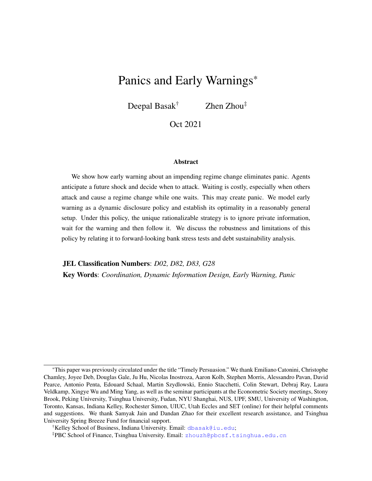# Panics and Early Warnings\*

Deepal Basak<sup>†</sup> Zhen Zhou<sup>‡</sup>

Oct 2021

#### Abstract

We show how early warning about an impending regime change eliminates panic. Agents anticipate a future shock and decide when to attack. Waiting is costly, especially when others attack and cause a regime change while one waits. This may create panic. We model early warning as a dynamic disclosure policy and establish its optimality in a reasonably general setup. Under this policy, the unique rationalizable strategy is to ignore private information, wait for the warning and then follow it. We discuss the robustness and limitations of this policy by relating it to forward-looking bank stress tests and debt sustainability analysis.

JEL Classification Numbers: *D02, D82, D83, G28*

Key Words: *Coordination, Dynamic Information Design, Early Warning, Panic*

<sup>\*</sup>This paper was previously circulated under the title "Timely Persuasion." We thank Emiliano Catonini, Christophe Chamley, Joyee Deb, Douglas Gale, Ju Hu, Nicolas Inostroza, Aaron Kolb, Stephen Morris, Alessandro Pavan, David Pearce, Antonio Penta, Edouard Schaal, Martin Szydlowski, Ennio Stacchetti, Colin Stewart, Debraj Ray, Laura Veldkamp, Xingye Wu and Ming Yang, as well as the seminar participants at the Econometric Society meetings, Stony Brook, Peking University, Tsinghua University, Fudan, NYU Shanghai, NUS, UPF, SMU, University of Washington, Toronto, Kansas, Indiana Kelley, Rochester Simon, UIUC, Utah Eccles and SET (online) for their helpful comments and suggestions. We thank Samyak Jain and Dandan Zhao for their excellent research assistance, and Tsinghua University Spring Breeze Fund for financial support.

<sup>†</sup>Kelley School of Business, Indiana University. Email: <dbasak@iu.edu>;

<sup>‡</sup>PBC School of Finance, Tsinghua University. Email: <zhouzh@pbcsf.tsinghua.edu.cn>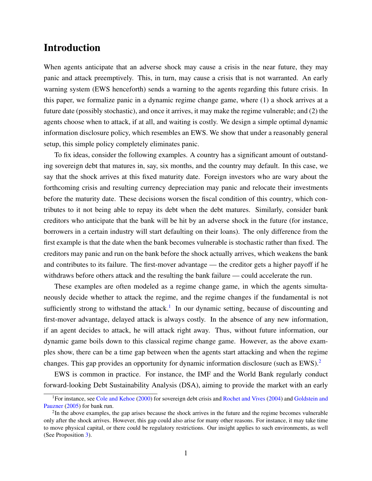## Introduction

When agents anticipate that an adverse shock may cause a crisis in the near future, they may panic and attack preemptively. This, in turn, may cause a crisis that is not warranted. An early warning system (EWS henceforth) sends a warning to the agents regarding this future crisis. In this paper, we formalize panic in a dynamic regime change game, where (1) a shock arrives at a future date (possibly stochastic), and once it arrives, it may make the regime vulnerable; and (2) the agents choose when to attack, if at all, and waiting is costly. We design a simple optimal dynamic information disclosure policy, which resembles an EWS. We show that under a reasonably general setup, this simple policy completely eliminates panic.

To fix ideas, consider the following examples. A country has a significant amount of outstanding sovereign debt that matures in, say, six months, and the country may default. In this case, we say that the shock arrives at this fixed maturity date. Foreign investors who are wary about the forthcoming crisis and resulting currency depreciation may panic and relocate their investments before the maturity date. These decisions worsen the fiscal condition of this country, which contributes to it not being able to repay its debt when the debt matures. Similarly, consider bank creditors who anticipate that the bank will be hit by an adverse shock in the future (for instance, borrowers in a certain industry will start defaulting on their loans). The only difference from the first example is that the date when the bank becomes vulnerable is stochastic rather than fixed. The creditors may panic and run on the bank before the shock actually arrives, which weakens the bank and contributes to its failure. The first-mover advantage — the creditor gets a higher payoff if he withdraws before others attack and the resulting the bank failure — could accelerate the run.

These examples are often modeled as a regime change game, in which the agents simultaneously decide whether to attack the regime, and the regime changes if the fundamental is not sufficiently strong to withstand the attack.<sup>[1](#page-1-0)</sup> In our dynamic setting, because of discounting and first-mover advantage, delayed attack is always costly. In the absence of any new information, if an agent decides to attack, he will attack right away. Thus, without future information, our dynamic game boils down to this classical regime change game. However, as the above examples show, there can be a time gap between when the agents start attacking and when the regime changes. This gap provides an opportunity for dynamic information disclosure (such as EWS).[2](#page-1-1)

EWS is common in practice. For instance, the IMF and the World Bank regularly conduct forward-looking Debt Sustainability Analysis (DSA), aiming to provide the market with an early

<span id="page-1-0"></span><sup>1</sup>For instance, see [Cole and Kehoe](#page-31-0) [\(2000\)](#page-31-0) for sovereign debt crisis and [Rochet and Vives](#page-32-0) [\(2004\)](#page-32-0) and [Goldstein and](#page-31-1) [Pauzner](#page-31-1) [\(2005\)](#page-31-1) for bank run.

<span id="page-1-1"></span> $2$ In the above examples, the gap arises because the shock arrives in the future and the regime becomes vulnerable only after the shock arrives. However, this gap could also arise for many other reasons. For instance, it may take time to move physical capital, or there could be regulatory restrictions. Our insight applies to such environments, as well (See Proposition [3\)](#page-28-0).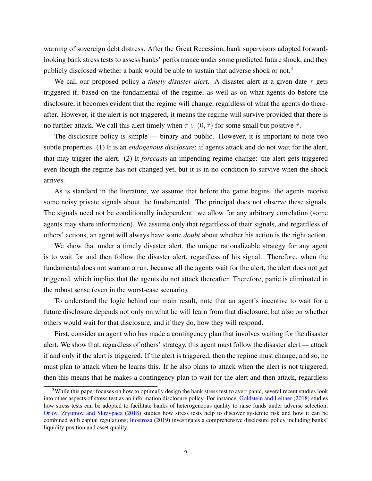warning of sovereign debt distress. After the Great Recession, bank supervisors adopted forwardlooking bank stress tests to assess banks' performance under some predicted future shock, and they publicly disclosed whether a bank would be able to sustain that adverse shock or not.<sup>[3](#page-2-0)</sup>

We call our proposed policy a *timely disaster alert*. A disaster alert at a given date  $\tau$  gets triggered if, based on the fundamental of the regime, as well as on what agents do before the disclosure, it becomes evident that the regime will change, regardless of what the agents do thereafter. However, if the alert is not triggered, it means the regime will survive provided that there is no further attack. We call this alert timely when  $\tau \in (0, \hat{\tau})$  for some small but positive  $\hat{\tau}$ .

The disclosure policy is simple — binary and public. However, it is important to note two subtle properties. (1) It is an *endogenous disclosure*: if agents attack and do not wait for the alert, that may trigger the alert. (2) It *forecasts* an impending regime change: the alert gets triggered even though the regime has not changed yet, but it is in no condition to survive when the shock arrives.

As is standard in the literature, we assume that before the game begins, the agents receive some noisy private signals about the fundamental. The principal does not observe these signals. The signals need not be conditionally independent: we allow for any arbitrary correlation (some agents may share information). We assume only that regardless of their signals, and regardless of others' actions, an agent will always have some *doubt* about whether his action is the right action.

We show that under a timely disaster alert, the unique rationalizable strategy for any agent is to wait for and then follow the disaster alert, regardless of his signal. Therefore, when the fundamental does not warrant a run, because all the agents wait for the alert, the alert does not get triggered, which implies that the agents do not attack thereafter. Therefore, panic is eliminated in the robust sense (even in the worst-case scenario).

To understand the logic behind our main result, note that an agent's incentive to wait for a future disclosure depends not only on what he will learn from that disclosure, but also on whether others would wait for that disclosure, and if they do, how they will respond.

First, consider an agent who has made a contingency plan that involves waiting for the disaster alert. We show that, regardless of others' strategy, this agent must follow the disaster alert — attack if and only if the alert is triggered. If the alert is triggered, then the regime must change, and so, he must plan to attack when he learns this. If he also plans to attack when the alert is not triggered, then this means that he makes a contingency plan to wait for the alert and then attack, regardless

<span id="page-2-0"></span><sup>&</sup>lt;sup>3</sup>While this paper focuses on how to optimally design the bank stress test to avert panic, several recent studies look into other aspects of stress test as an information disclosure policy. For instance, [Goldstein and Leitner](#page-31-2) [\(2018\)](#page-31-2) studies how stress tests can be adopted to facilitate banks of heterogeneous quality to raise funds under adverse selection; [Orlov, Zryumov and Skrzypacz](#page-32-1) [\(2018\)](#page-32-1) studies how stress tests help to discover systemic risk and how it can be combined with capital regulations; [Inostroza](#page-31-3) [\(2019\)](#page-31-3) investigates a comprehensive disclosure policy including banks' liquidity position and asset quality.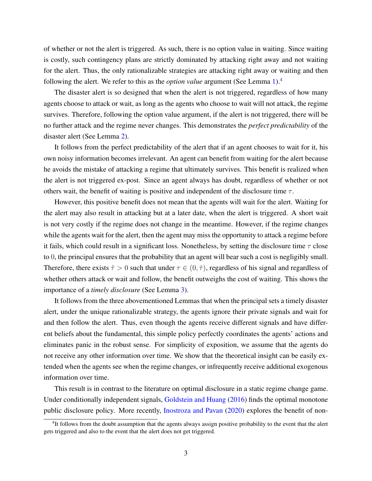of whether or not the alert is triggered. As such, there is no option value in waiting. Since waiting is costly, such contingency plans are strictly dominated by attacking right away and not waiting for the alert. Thus, the only rationalizable strategies are attacking right away or waiting and then following the alert. We refer to this as the *option value* argument (See Lemma [1\)](#page-15-0).[4](#page-3-0)

The disaster alert is so designed that when the alert is not triggered, regardless of how many agents choose to attack or wait, as long as the agents who choose to wait will not attack, the regime survives. Therefore, following the option value argument, if the alert is not triggered, there will be no further attack and the regime never changes. This demonstrates the *perfect predictability* of the disaster alert (See Lemma [2\)](#page-16-0).

It follows from the perfect predictability of the alert that if an agent chooses to wait for it, his own noisy information becomes irrelevant. An agent can benefit from waiting for the alert because he avoids the mistake of attacking a regime that ultimately survives. This benefit is realized when the alert is not triggered ex-post. Since an agent always has doubt, regardless of whether or not others wait, the benefit of waiting is positive and independent of the disclosure time  $\tau$ .

However, this positive benefit does not mean that the agents will wait for the alert. Waiting for the alert may also result in attacking but at a later date, when the alert is triggered. A short wait is not very costly if the regime does not change in the meantime. However, if the regime changes while the agents wait for the alert, then the agent may miss the opportunity to attack a regime before it fails, which could result in a significant loss. Nonetheless, by setting the disclosure time  $\tau$  close to 0, the principal ensures that the probability that an agent will bear such a cost is negligibly small. Therefore, there exists  $\hat{\tau} > 0$  such that under  $\tau \in (0, \hat{\tau})$ , regardless of his signal and regardless of whether others attack or wait and follow, the benefit outweighs the cost of waiting. This shows the importance of a *timely disclosure* (See Lemma [3\)](#page-18-0).

It follows from the three abovementioned Lemmas that when the principal sets a timely disaster alert, under the unique rationalizable strategy, the agents ignore their private signals and wait for and then follow the alert. Thus, even though the agents receive different signals and have different beliefs about the fundamental, this simple policy perfectly coordinates the agents' actions and eliminates panic in the robust sense. For simplicity of exposition, we assume that the agents do not receive any other information over time. We show that the theoretical insight can be easily extended when the agents see when the regime changes, or infrequently receive additional exogenous information over time.

This result is in contrast to the literature on optimal disclosure in a static regime change game. Under conditionally independent signals, [Goldstein and Huang](#page-31-4) [\(2016\)](#page-31-4) finds the optimal monotone public disclosure policy. More recently, [Inostroza and Pavan](#page-31-5) [\(2020\)](#page-31-5) explores the benefit of non-

<span id="page-3-0"></span><sup>&</sup>lt;sup>4</sup>It follows from the doubt assumption that the agents always assign positive probability to the event that the alert gets triggered and also to the event that the alert does not get triggered.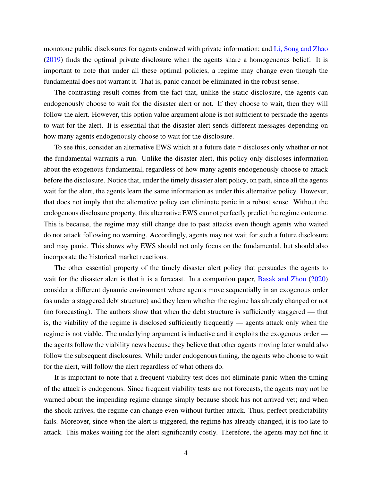monotone public disclosures for agents endowed with private information; and [Li, Song and Zhao](#page-32-2) [\(2019\)](#page-32-2) finds the optimal private disclosure when the agents share a homogeneous belief. It is important to note that under all these optimal policies, a regime may change even though the fundamental does not warrant it. That is, panic cannot be eliminated in the robust sense.

The contrasting result comes from the fact that, unlike the static disclosure, the agents can endogenously choose to wait for the disaster alert or not. If they choose to wait, then they will follow the alert. However, this option value argument alone is not sufficient to persuade the agents to wait for the alert. It is essential that the disaster alert sends different messages depending on how many agents endogenously choose to wait for the disclosure.

To see this, consider an alternative EWS which at a future date  $\tau$  discloses only whether or not the fundamental warrants a run. Unlike the disaster alert, this policy only discloses information about the exogenous fundamental, regardless of how many agents endogenously choose to attack before the disclosure. Notice that, under the timely disaster alert policy, on path, since all the agents wait for the alert, the agents learn the same information as under this alternative policy. However, that does not imply that the alternative policy can eliminate panic in a robust sense. Without the endogenous disclosure property, this alternative EWS cannot perfectly predict the regime outcome. This is because, the regime may still change due to past attacks even though agents who waited do not attack following no warning. Accordingly, agents may not wait for such a future disclosure and may panic. This shows why EWS should not only focus on the fundamental, but should also incorporate the historical market reactions.

The other essential property of the timely disaster alert policy that persuades the agents to wait for the disaster alert is that it is a forecast. In a companion paper, [Basak and Zhou](#page-30-0) [\(2020\)](#page-30-0) consider a different dynamic environment where agents move sequentially in an exogenous order (as under a staggered debt structure) and they learn whether the regime has already changed or not (no forecasting). The authors show that when the debt structure is sufficiently staggered — that is, the viability of the regime is disclosed sufficiently frequently — agents attack only when the regime is not viable. The underlying argument is inductive and it exploits the exogenous order the agents follow the viability news because they believe that other agents moving later would also follow the subsequent disclosures. While under endogenous timing, the agents who choose to wait for the alert, will follow the alert regardless of what others do.

It is important to note that a frequent viability test does not eliminate panic when the timing of the attack is endogenous. Since frequent viability tests are not forecasts, the agents may not be warned about the impending regime change simply because shock has not arrived yet; and when the shock arrives, the regime can change even without further attack. Thus, perfect predictability fails. Moreover, since when the alert is triggered, the regime has already changed, it is too late to attack. This makes waiting for the alert significantly costly. Therefore, the agents may not find it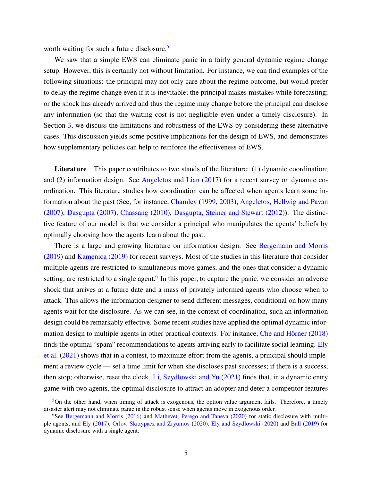worth waiting for such a future disclosure.<sup>[5](#page-5-0)</sup>

We saw that a simple EWS can eliminate panic in a fairly general dynamic regime change setup. However, this is certainly not without limitation. For instance, we can find examples of the following situations: the principal may not only care about the regime outcome, but would prefer to delay the regime change even if it is inevitable; the principal makes mistakes while forecasting; or the shock has already arrived and thus the regime may change before the principal can disclose any information (so that the waiting cost is not negligible even under a timely disclosure). In Section [3,](#page-23-0) we discuss the limitations and robustness of the EWS by considering these alternative cases. This discussion yields some positive implications for the design of EWS, and demonstrates how supplementary policies can help to reinforce the effectiveness of EWS.

Literature This paper contributes to two stands of the literature: (1) dynamic coordination; and (2) information design. See [Angeletos and Lian](#page-30-1) [\(2017\)](#page-30-1) for a recent survey on dynamic coordination. This literature studies how coordination can be affected when agents learn some information about the past (See, for instance, [Chamley](#page-30-2) [\(1999,](#page-30-2) [2003\)](#page-30-3), [Angeletos, Hellwig and Pavan](#page-30-4) [\(2007\)](#page-30-4), [Dasgupta](#page-31-6) [\(2007\)](#page-31-6), [Chassang](#page-30-5) [\(2010\)](#page-30-5), [Dasgupta, Steiner and Stewart](#page-31-7) [\(2012\)](#page-31-7)). The distinctive feature of our model is that we consider a principal who manipulates the agents' beliefs by optimally choosing how the agents learn about the past.

There is a large and growing literature on information design. See [Bergemann and Morris](#page-30-6) [\(2019\)](#page-30-6) and [Kamenica](#page-31-8) [\(2019\)](#page-31-8) for recent surveys. Most of the studies in this literature that consider multiple agents are restricted to simultaneous move games, and the ones that consider a dynamic setting, are restricted to a single agent.<sup>[6](#page-5-1)</sup> In this paper, to capture the panic, we consider an adverse shock that arrives at a future date and a mass of privately informed agents who choose when to attack. This allows the information designer to send different messages, conditional on how many agents wait for the disclosure. As we can see, in the context of coordination, such an information design could be remarkably effective. Some recent studies have applied the optimal dynamic infor-mation design to multiple agents in other practical contexts. For instance, Che and Hörner [\(2018\)](#page-31-9) finds the optimal "spam" recommendations to agents arriving early to facilitate social learning. [Ely](#page-31-10) [et al.](#page-31-10) [\(2021\)](#page-31-10) shows that in a contest, to maximize effort from the agents, a principal should implement a review cycle — set a time limit for when she discloses past successes; if there is a success, then stop; otherwise, reset the clock. [Li, Szydlowski and Yu](#page-32-3) [\(2021\)](#page-32-3) finds that, in a dynamic entry game with two agents, the optimal disclosure to attract an adopter and deter a competitor features

<span id="page-5-0"></span> $5$ On the other hand, when timing of attack is exogenous, the option value argument fails. Therefore, a timely disaster alert may not eliminate panic in the robust sense when agents move in exogenous order.

<span id="page-5-1"></span><sup>&</sup>lt;sup>6</sup>See [Bergemann and Morris](#page-30-7) [\(2016\)](#page-30-7) and [Mathevet, Perego and Taneva](#page-32-4) [\(2020\)](#page-32-4) for static disclosure with multiple agents, and [Ely](#page-31-11) [\(2017\)](#page-31-11), [Orlov, Skrzypacz and Zryumov](#page-32-5) [\(2020\)](#page-32-5), [Ely and Szydlowski](#page-31-12) [\(2020\)](#page-31-12) and [Ball](#page-30-8) [\(2019\)](#page-30-8) for dynamic disclosure with a single agent.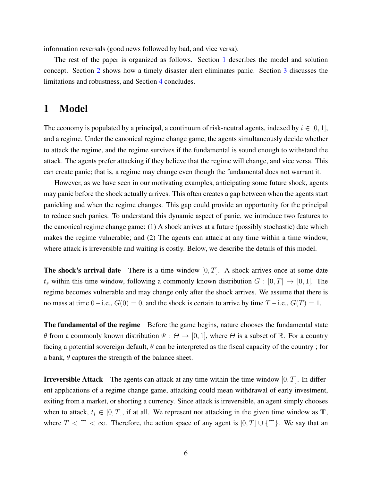information reversals (good news followed by bad, and vice versa).

The rest of the paper is organized as follows. Section [1](#page-6-0) describes the model and solution concept. Section [2](#page-11-0) shows how a timely disaster alert eliminates panic. Section [3](#page-23-0) discusses the limitations and robustness, and Section [4](#page-29-0) concludes.

## <span id="page-6-0"></span>1 Model

The economy is populated by a principal, a continuum of risk-neutral agents, indexed by  $i \in [0, 1]$ , and a regime. Under the canonical regime change game, the agents simultaneously decide whether to attack the regime, and the regime survives if the fundamental is sound enough to withstand the attack. The agents prefer attacking if they believe that the regime will change, and vice versa. This can create panic; that is, a regime may change even though the fundamental does not warrant it.

However, as we have seen in our motivating examples, anticipating some future shock, agents may panic before the shock actually arrives. This often creates a gap between when the agents start panicking and when the regime changes. This gap could provide an opportunity for the principal to reduce such panics. To understand this dynamic aspect of panic, we introduce two features to the canonical regime change game: (1) A shock arrives at a future (possibly stochastic) date which makes the regime vulnerable; and (2) The agents can attack at any time within a time window, where attack is irreversible and waiting is costly. Below, we describe the details of this model.

**The shock's arrival date** There is a time window  $[0, T]$ . A shock arrives once at some date  $t_s$  within this time window, following a commonly known distribution  $G : [0, T] \rightarrow [0, 1]$ . The regime becomes vulnerable and may change only after the shock arrives. We assume that there is no mass at time  $0 - i.e., G(0) = 0$ , and the shock is certain to arrive by time  $T - i.e., G(T) = 1$ .

The fundamental of the regime Before the game begins, nature chooses the fundamental state θ from a commonly known distribution  $\Psi : \Theta \to [0, 1]$ , where  $\Theta$  is a subset of R. For a country facing a potential sovereign default,  $\theta$  can be interpreted as the fiscal capacity of the country; for a bank,  $\theta$  captures the strength of the balance sheet.

**Irreversible Attack** The agents can attack at any time within the time window  $[0, T]$ . In different applications of a regime change game, attacking could mean withdrawal of early investment, exiting from a market, or shorting a currency. Since attack is irreversible, an agent simply chooses when to attack,  $t_i \in [0, T]$ , if at all. We represent not attacking in the given time window as  $\mathbb{T}$ , where  $T < \mathbb{T} < \infty$ . Therefore, the action space of any agent is  $[0, T] \cup {\mathbb{T}}$ . We say that an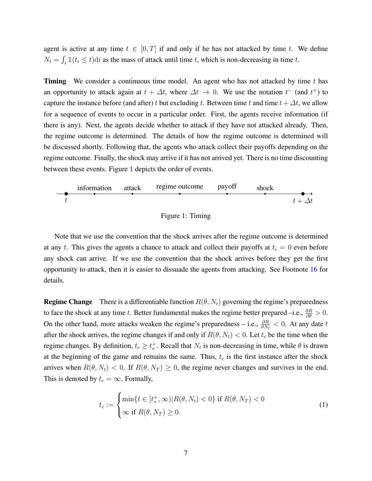agent is active at any time  $t \in [0, T]$  if and only if he has not attacked by time t. We define  $N_t = \int_i \mathbb{1}(t_i \le t) \, \mathrm{d}i$  as the mass of attack until time t, which is non-decreasing in time t.

**Timing** We consider a continuous time model. An agent who has not attacked by time t has an opportunity to attack again at  $t + \Delta t$ , where  $\Delta t \rightarrow 0$ . We use the notation  $t^{-}$  (and  $t^{+}$ ) to capture the instance before (and after) t but excluding t. Between time t and time  $t + \Delta t$ , we allow for a sequence of events to occur in a particular order. First, the agents receive information (if there is any). Next, the agents decide whether to attack if they have not attacked already. Then, the regime outcome is determined. The details of how the regime outcome is determined will be discussed shortly. Following that, the agents who attack collect their payoffs depending on the regime outcome. Finally, the shock may arrive if it has not arrived yet. There is no time discounting between these events. Figure [1](#page-7-0) depicts the order of events.

<span id="page-7-0"></span>

Figure 1: Timing

Note that we use the convention that the shock arrives after the regime outcome is determined at any t. This gives the agents a chance to attack and collect their payoffs at  $t_i = 0$  even before any shock can arrive. If we use the convention that the shock arrives before they get the first opportunity to attack, then it is easier to dissuade the agents from attacking. See Footnote [16](#page-19-0) for details.

**Regime Change** There is a differentiable function  $R(\theta, N_t)$  governing the regime's preparedness to face the shock at any time t. Better fundamental makes the regime better prepared –i.e.,  $\frac{\partial R}{\partial \theta} > 0$ . On the other hand, more attacks weaken the regime's preparedness – i.e.,  $\frac{\partial R}{\partial N_t}$  < 0. At any date t after the shock arrives, the regime changes if and only if  $R(\theta, N_t) < 0$ . Let  $t_c$  be the time when the regime changes. By definition,  $t_c \geq t_s^+$ . Recall that  $N_t$  is non-decreasing in time, while  $\theta$  is drawn at the beginning of the game and remains the same. Thus,  $t_c$  is the first instance after the shock arrives when  $R(\theta, N_t) < 0$ . If  $R(\theta, N_T) \ge 0$ , the regime never changes and survives in the end. This is denoted by  $t_c = \infty$ . Formally,

<span id="page-7-1"></span>
$$
t_c := \begin{cases} \min\{t \in [t_s^+, \infty) | R(\theta, N_t) < 0\} \text{ if } R(\theta, N_T) < 0\\ \infty \text{ if } R(\theta, N_T) \ge 0. \end{cases} \tag{1}
$$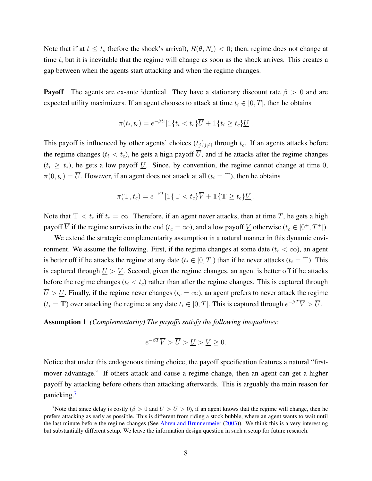Note that if at  $t \le t_s$  (before the shock's arrival),  $R(\theta, N_t) < 0$ ; then, regime does not change at time  $t$ , but it is inevitable that the regime will change as soon as the shock arrives. This creates a gap between when the agents start attacking and when the regime changes.

**Payoff** The agents are ex-ante identical. They have a stationary discount rate  $\beta > 0$  and are expected utility maximizers. If an agent chooses to attack at time  $t_i \in [0, T]$ , then he obtains

$$
\pi(t_i, t_c) = e^{-\beta t_i} [\mathbb{1}\{t_i < t_c\}\overline{U} + \mathbb{1}\{t_i \ge t_c\}\underline{U}].
$$

This payoff is influenced by other agents' choices  $(t_j)_{j\neq i}$  through  $t_c$ . If an agents attacks before the regime changes ( $t_i < t_c$ ), he gets a high payoff  $\overline{U}$ , and if he attacks after the regime changes  $(t_i \geq t_s)$ , he gets a low payoff U. Since, by convention, the regime cannot change at time 0,  $\pi(0, t_c) = \overline{U}$ . However, if an agent does not attack at all  $(t_i = \mathbb{T})$ , then he obtains

$$
\pi(\mathbb{T}, t_c) = e^{-\beta T} [\mathbb{1}\{\mathbb{T} < t_c\} \overline{V} + \mathbb{1}\{\mathbb{T} \ge t_c\} \underline{V}].
$$

Note that  $\mathbb{T} < t_c$  iff  $t_c = \infty$ . Therefore, if an agent never attacks, then at time T, he gets a high payoff  $\overline{V}$  if the regime survives in the end  $(t_c = \infty)$ , and a low payoff  $\underline{V}$  otherwise  $(t_c \in [0^+, T^+])$ .

We extend the strategic complementarity assumption in a natural manner in this dynamic environment. We assume the following. First, if the regime changes at some date ( $t_c < \infty$ ), an agent is better off if he attacks the regime at any date ( $t_i \in [0, T]$ ) than if he never attacks ( $t_i = T$ ). This is captured through  $U > V$ . Second, given the regime changes, an agent is better off if he attacks before the regime changes ( $t_i < t_c$ ) rather than after the regime changes. This is captured through  $\overline{U} > \underline{U}$ . Finally, if the regime never changes ( $t_c = \infty$ ), an agent prefers to never attack the regime  $(t_i = T)$  over attacking the regime at any date  $t_i \in [0, T]$ . This is captured through  $e^{-\beta T} \overline{V} > \overline{U}$ .

<span id="page-8-1"></span>Assumption 1 *(Complementarity) The payoffs satisfy the following inequalities:*

$$
e^{-\beta T}\overline{V} > \overline{U} > \underline{U} > \underline{V} \ge 0.
$$

Notice that under this endogenous timing choice, the payoff specification features a natural "firstmover advantage." If others attack and cause a regime change, then an agent can get a higher payoff by attacking before others than attacking afterwards. This is arguably the main reason for panicking.[7](#page-8-0)

<span id="page-8-0"></span><sup>&</sup>lt;sup>7</sup>Note that since delay is costly ( $\beta > 0$  and  $\overline{U} > U > 0$ ), if an agent knows that the regime will change, then he prefers attacking as early as possible. This is different from riding a stock bubble, where an agent wants to wait until the last minute before the regime changes (See [Abreu and Brunnermeier](#page-30-9) [\(2003\)](#page-30-9)). We think this is a very interesting but substantially different setup. We leave the information design question in such a setup for future research.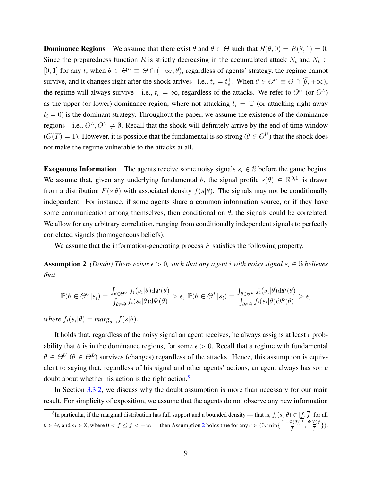**Dominance Regions** We assume that there exist  $\theta$  and  $\overline{\theta} \in \Theta$  such that  $R(\theta, 0) = R(\overline{\theta}, 1) = 0$ . Since the preparedness function R is strictly decreasing in the accumulated attack  $N_t$  and  $N_t \in$ [0, 1] for any t, when  $\theta \in \Theta^L \equiv \Theta \cap (-\infty, \theta)$ , regardless of agents' strategy, the regime cannot survive, and it changes right after the shock arrives –i.e.,  $t_c = t_s^+$ . When  $\theta \in \Theta^U \equiv \Theta \cap [\bar{\theta}, +\infty)$ , the regime will always survive – i.e.,  $t_c = \infty$ , regardless of the attacks. We refer to  $\Theta^U$  (or  $\Theta^L$ ) as the upper (or lower) dominance region, where not attacking  $t_i = T$  (or attacking right away  $t_i = 0$ ) is the dominant strategy. Throughout the paper, we assume the existence of the dominance regions – i.e.,  $\Theta^L$ ,  $\Theta^U \neq \emptyset$ . Recall that the shock will definitely arrive by the end of time window  $(G(T) = 1)$ . However, it is possible that the fundamental is so strong  $(\theta \in \Theta^U)$  that the shock does not make the regime vulnerable to the attacks at all.

Exogenous Information The agents receive some noisy signals  $s_i \in \mathbb{S}$  before the game begins. We assume that, given any underlying fundamental  $\theta$ , the signal profile  $s(\theta) \in \mathbb{S}^{[0,1]}$  is drawn from a distribution  $F(s|\theta)$  with associated density  $f(s|\theta)$ . The signals may not be conditionally independent. For instance, if some agents share a common information source, or if they have some communication among themselves, then conditional on  $\theta$ , the signals could be correlated. We allow for any arbitrary correlation, ranging from conditionally independent signals to perfectly correlated signals (homogeneous beliefs).

<span id="page-9-1"></span>We assume that the information-generating process  $F$  satisfies the following property.

**Assumption 2** *(Doubt)* There exists  $\epsilon > 0$ , such that any agent i with noisy signal  $s_i \in \mathbb{S}$  *believes that*

$$
\mathbb{P}(\theta \in \Theta^U | s_i) = \frac{\int_{\theta \in \Theta^U} f_i(s_i | \theta) d\Psi(\theta)}{\int_{\theta \in \Theta} f_i(s_i | \theta) d\Psi(\theta)} > \epsilon, \ \mathbb{P}(\theta \in \Theta^L | s_i) = \frac{\int_{\theta \in \Theta^L} f_i(s_i | \theta) d\Psi(\theta)}{\int_{\theta \in \Theta} f_i(s_i | \theta) d\Psi(\theta)} > \epsilon,
$$

 $where f_i(s_i|\theta) = marg_{s_{-i}}f(s|\theta).$ 

It holds that, regardless of the noisy signal an agent receives, he always assigns at least  $\epsilon$  probability that  $\theta$  is in the dominance regions, for some  $\epsilon > 0$ . Recall that a regime with fundamental  $\theta \in \Theta^U$  ( $\theta \in \Theta^L$ ) survives (changes) regardless of the attacks. Hence, this assumption is equivalent to saying that, regardless of his signal and other agents' actions, an agent always has some doubt about whether his action is the right action.<sup>[8](#page-9-0)</sup>

In Section [3.3.2,](#page-26-0) we discuss why the doubt assumption is more than necessary for our main result. For simplicity of exposition, we assume that the agents do not observe any new information

<span id="page-9-0"></span> $^8$ In particular, if the marginal distribution has full support and a bounded density — that is,  $f_i(s_i|\theta)\in [f,\overline{f}]$  for all  $\theta \in \Theta$ , and  $s_i \in \mathbb{S}$ , where  $0 < f \leq \overline{f} < +\infty$  — then Assumption [2](#page-9-1) holds true for any  $\epsilon \in (0, \min\{\frac{(1-\Psi(\theta))f}{\overline{f}}\}$  $\frac{\Psi(\theta) f}{\overline{f}}, \frac{\Psi(\underline{\theta}) f}{\overline{f}}$  $\frac{\frac{\mathcal{Q}}{f}}{\overline{f}}\big\}\big).$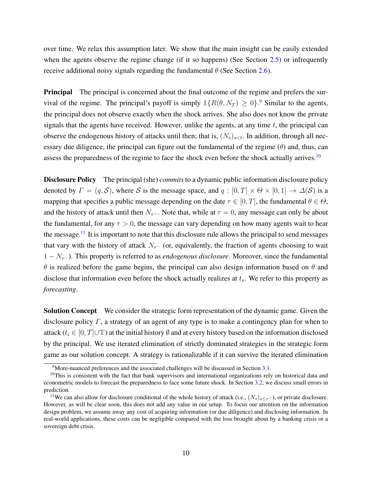over time. We relax this assumption later. We show that the main insight can be easily extended when the agents observe the regime change (if it so happens) (See Section [2.5\)](#page-22-0) or infrequently receive additional noisy signals regarding the fundamental  $\theta$  (See Section [2.6\)](#page-22-1).

**Principal** The principal is concerned about the final outcome of the regime and prefers the survival of the regime. The principal's payoff is simply  $\mathbb{1}{R(\theta, N_T) \geq 0}$ . Similar to the agents, the principal does not observe exactly when the shock arrives. She also does not know the private signals that the agents have received. However, unlike the agents, at any time  $t$ , the principal can observe the endogenous history of attacks until then; that is,  $(N_s)_{s \le t}$ . In addition, through all necessary due diligence, the principal can figure out the fundamental of the regime  $(\theta)$  and, thus, can assess the preparedness of the regime to face the shock even before the shock actually arrives.<sup>[10](#page-10-1)</sup>

Disclosure Policy The principal (she) *commits* to a dynamic public information disclosure policy denoted by  $\Gamma = (q, S)$ , where S is the message space, and  $q : [0, T] \times \Theta \times [0, 1] \rightarrow \Delta(S)$  is a mapping that specifies a public message depending on the date  $\tau \in [0, T]$ , the fundamental  $\theta \in \Theta$ , and the history of attack until then  $N_{\tau}$ -. Note that, while at  $\tau = 0$ , any message can only be about the fundamental, for any  $\tau > 0$ , the message can vary depending on how many agents wait to hear the message.<sup>[11](#page-10-2)</sup> It is important to note that this disclosure rule allows the principal to send messages that vary with the history of attack  $N_{\tau-}$  (or, equivalently, the fraction of agents choosing to wait 1 − Nτ<sup>−</sup> ). This property is referred to as *endogenous disclosure*. Moreover, since the fundamental  $\theta$  is realized before the game begins, the principal can also design information based on  $\theta$  and disclose that information even before the shock actually realizes at  $t_s$ . We refer to this property as *forecasting*.

Solution Concept We consider the strategic form representation of the dynamic game. Given the disclosure policy  $\Gamma$ , a strategy of an agent of any type is to make a contingency plan for when to attack ( $t_i \in [0, T] \cup \mathbb{T}$ ) at the initial history  $\emptyset$  and at every history based on the information disclosed by the principal. We use iterated elimination of strictly dominated strategies in the strategic form game as our solution concept. A strategy is rationalizable if it can survive the iterated elimination

<span id="page-10-1"></span><span id="page-10-0"></span><sup>&</sup>lt;sup>9</sup>More-nuanced preferences and the associated challenges will be discussed in Section [3.1.](#page-23-1)

 $10$ This is consistent with the fact that bank supervisors and international organizations rely on historical data and econometric models to forecast the preparedness to face some future shock. In Section [3.2,](#page-24-0) we discuss small errors in prediction.

<span id="page-10-2"></span><sup>&</sup>lt;sup>11</sup>We can also allow for disclosure conditional of the whole history of attack (i.e.,  $(N_s)_{s\leq \tau}$ ), or private disclosure. However, as will be clear soon, this does not add any value in our setup. To focus our attention on the information design problem, we assume away any cost of acquiring information (or due diligence) and disclosing information. In real-world applications, these costs can be negligible compared with the loss brought about by a banking crisis or a sovereign debt crisis.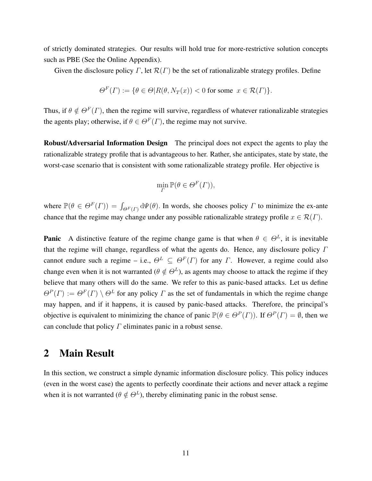of strictly dominated strategies. Our results will hold true for more-restrictive solution concepts such as PBE (See the Online Appendix).

Given the disclosure policy  $\Gamma$ , let  $\mathcal{R}(\Gamma)$  be the set of rationalizable strategy profiles. Define

$$
\Theta^F(\Gamma) := \{ \theta \in \Theta | R(\theta, N_T(x)) < 0 \text{ for some } x \in \mathcal{R}(\Gamma) \}.
$$

Thus, if  $\theta \notin \Theta^F(\Gamma)$ , then the regime will survive, regardless of whatever rationalizable strategies the agents play; otherwise, if  $\theta \in \Theta^F(\Gamma)$ , the regime may not survive.

Robust/Adversarial Information Design The principal does not expect the agents to play the rationalizable strategy profile that is advantageous to her. Rather, she anticipates, state by state, the worst-case scenario that is consistent with some rationalizable strategy profile. Her objective is

$$
\min_{\Gamma} \mathbb{P}(\theta \in \Theta^F(\Gamma)),
$$

where  $\mathbb{P}(\theta \in \Theta^F(\Gamma)) = \int_{\Theta^F(\Gamma)} d\Psi(\theta)$ . In words, she chooses policy  $\Gamma$  to minimize the ex-ante chance that the regime may change under any possible rationalizable strategy profile  $x \in \mathcal{R}(\Gamma)$ .

**Panic** A distinctive feature of the regime change game is that when  $\theta \in \Theta^L$ , it is inevitable that the regime will change, regardless of what the agents do. Hence, any disclosure policy  $\Gamma$ cannot endure such a regime – i.e.,  $\Theta^L \subseteq \Theta^F(\Gamma)$  for any  $\Gamma$ . However, a regime could also change even when it is not warranted ( $\theta \notin \Theta^L$ ), as agents may choose to attack the regime if they believe that many others will do the same. We refer to this as panic-based attacks. Let us define  $\Theta^P(\Gamma) := \Theta^F(\Gamma) \setminus \Theta^L$  for any policy  $\Gamma$  as the set of fundamentals in which the regime change may happen, and if it happens, it is caused by panic-based attacks. Therefore, the principal's objective is equivalent to minimizing the chance of panic  $\mathbb{P}(\theta \in \Theta^P(\Gamma))$ . If  $\Theta^P(\Gamma) = \emptyset$ , then we can conclude that policy  $\Gamma$  eliminates panic in a robust sense.

## <span id="page-11-0"></span>2 Main Result

In this section, we construct a simple dynamic information disclosure policy. This policy induces (even in the worst case) the agents to perfectly coordinate their actions and never attack a regime when it is not warranted ( $\theta \notin \Theta^L$ ), thereby eliminating panic in the robust sense.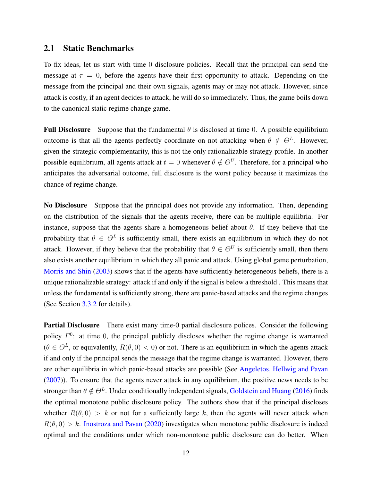## <span id="page-12-0"></span>2.1 Static Benchmarks

To fix ideas, let us start with time 0 disclosure policies. Recall that the principal can send the message at  $\tau = 0$ , before the agents have their first opportunity to attack. Depending on the message from the principal and their own signals, agents may or may not attack. However, since attack is costly, if an agent decides to attack, he will do so immediately. Thus, the game boils down to the canonical static regime change game.

**Full Disclosure** Suppose that the fundamental  $\theta$  is disclosed at time 0. A possible equilibrium outcome is that all the agents perfectly coordinate on not attacking when  $\theta \notin \Theta^L$ . However, given the strategic complementarity, this is not the only rationalizable strategy profile. In another possible equilibrium, all agents attack at  $t = 0$  whenever  $\theta \notin \Theta^U$ . Therefore, for a principal who anticipates the adversarial outcome, full disclosure is the worst policy because it maximizes the chance of regime change.

No Disclosure Suppose that the principal does not provide any information. Then, depending on the distribution of the signals that the agents receive, there can be multiple equilibria. For instance, suppose that the agents share a homogeneous belief about  $\theta$ . If they believe that the probability that  $\theta \in \Theta^L$  is sufficiently small, there exists an equilibrium in which they do not attack. However, if they believe that the probability that  $\theta \in \Theta^U$  is sufficiently small, then there also exists another equilibrium in which they all panic and attack. Using global game perturbation, [Morris and Shin](#page-32-6) [\(2003\)](#page-32-6) shows that if the agents have sufficiently heterogeneous beliefs, there is a unique rationalizable strategy: attack if and only if the signal is below a threshold . This means that unless the fundamental is sufficiently strong, there are panic-based attacks and the regime changes (See Section [3.3.2](#page-26-0) for details).

Partial Disclosure There exist many time-0 partial disclosure polices. Consider the following policy  $\Gamma^0$ : at time 0, the principal publicly discloses whether the regime change is warranted  $(\theta \in \Theta^L)$ , or equivalently,  $R(\theta,0) < 0$  or not. There is an equilibrium in which the agents attack if and only if the principal sends the message that the regime change is warranted. However, there are other equilibria in which panic-based attacks are possible (See [Angeletos, Hellwig and Pavan](#page-30-4) [\(2007\)](#page-30-4)). To ensure that the agents never attack in any equilibrium, the positive news needs to be stronger than  $\theta \notin \Theta^L$ . Under conditionally independent signals, [Goldstein and Huang](#page-31-4) [\(2016\)](#page-31-4) finds the optimal monotone public disclosure policy. The authors show that if the principal discloses whether  $R(\theta, 0) > k$  or not for a sufficiently large k, then the agents will never attack when  $R(\theta, 0) > k$ . [Inostroza and Pavan](#page-31-5) [\(2020\)](#page-31-5) investigates when monotone public disclosure is indeed optimal and the conditions under which non-monotone public disclosure can do better. When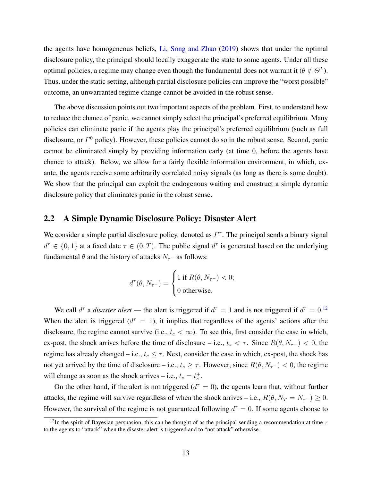the agents have homogeneous beliefs, [Li, Song and Zhao](#page-32-2) [\(2019\)](#page-32-2) shows that under the optimal disclosure policy, the principal should locally exaggerate the state to some agents. Under all these optimal policies, a regime may change even though the fundamental does not warrant it ( $\theta \notin \Theta^L$ ). Thus, under the static setting, although partial disclosure policies can improve the "worst possible" outcome, an unwarranted regime change cannot be avoided in the robust sense.

The above discussion points out two important aspects of the problem. First, to understand how to reduce the chance of panic, we cannot simply select the principal's preferred equilibrium. Many policies can eliminate panic if the agents play the principal's preferred equilibrium (such as full disclosure, or  $\Gamma^0$  policy). However, these policies cannot do so in the robust sense. Second, panic cannot be eliminated simply by providing information early (at time 0, before the agents have chance to attack). Below, we allow for a fairly flexible information environment, in which, exante, the agents receive some arbitrarily correlated noisy signals (as long as there is some doubt). We show that the principal can exploit the endogenous waiting and construct a simple dynamic disclosure policy that eliminates panic in the robust sense.

### 2.2 A Simple Dynamic Disclosure Policy: Disaster Alert

We consider a simple partial disclosure policy, denoted as  $\Gamma^{\tau}$ . The principal sends a binary signal  $d^{\tau} \in \{0,1\}$  at a fixed date  $\tau \in (0,T)$ . The public signal  $d^{\tau}$  is generated based on the underlying fundamental  $\theta$  and the history of attacks  $N_{\tau-}$  as follows:

$$
d^{\tau}(\theta, N_{\tau^{-}}) = \begin{cases} 1 \text{ if } R(\theta, N_{\tau^{-}}) < 0; \\ 0 \text{ otherwise.} \end{cases}
$$

We call  $d^{\tau}$  a *disaster alert* — the alert is triggered if  $d^{\tau} = 1$  and is not triggered if  $d^{\tau} = 0$ .<sup>[12](#page-13-0)</sup> When the alert is triggered  $(d^{\tau} = 1)$ , it implies that regardless of the agents' actions after the disclosure, the regime cannot survive (i.e.,  $t_c < \infty$ ). To see this, first consider the case in which, ex-post, the shock arrives before the time of disclosure – i.e.,  $t_s < \tau$ . Since  $R(\theta, N_{\tau^-}) < 0$ , the regime has already changed – i.e.,  $t_c \leq \tau$ . Next, consider the case in which, ex-post, the shock has not yet arrived by the time of disclosure – i.e.,  $t_s \geq \tau$ . However, since  $R(\theta, N_{\tau^-}) < 0$ , the regime will change as soon as the shock arrives – i.e.,  $t_c = t_s^+$ .

On the other hand, if the alert is not triggered ( $d^{\tau} = 0$ ), the agents learn that, without further attacks, the regime will survive regardless of when the shock arrives – i.e.,  $R(\theta, N_T = N_{\tau^-}) \geq 0$ . However, the survival of the regime is not guaranteed following  $d^{\tau} = 0$ . If some agents choose to

<span id="page-13-0"></span><sup>&</sup>lt;sup>12</sup>In the spirit of Bayesian persuasion, this can be thought of as the principal sending a recommendation at time  $\tau$ to the agents to "attack" when the disaster alert is triggered and to "not attack" otherwise.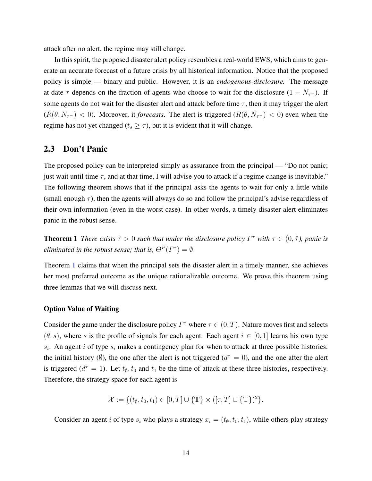attack after no alert, the regime may still change.

In this spirit, the proposed disaster alert policy resembles a real-world EWS, which aims to generate an accurate forecast of a future crisis by all historical information. Notice that the proposed policy is simple — binary and public. However, it is an *endogenous-disclosure.* The message at date  $\tau$  depends on the fraction of agents who choose to wait for the disclosure (1 –  $N_{\tau}$ –). If some agents do not wait for the disaster alert and attack before time  $\tau$ , then it may trigger the alert  $(R(\theta, N_{\tau^-}) < 0)$ . Moreover, it *forecasts*. The alert is triggered  $(R(\theta, N_{\tau^-}) < 0)$  even when the regime has not yet changed ( $t_s \geq \tau$ ), but it is evident that it will change.

## 2.3 Don't Panic

The proposed policy can be interpreted simply as assurance from the principal — "Do not panic; just wait until time  $\tau$ , and at that time, I will advise you to attack if a regime change is inevitable." The following theorem shows that if the principal asks the agents to wait for only a little while (small enough  $\tau$ ), then the agents will always do so and follow the principal's advise regardless of their own information (even in the worst case). In other words, a timely disaster alert eliminates panic in the robust sense.

<span id="page-14-0"></span>**Theorem 1** *There exists*  $\hat{\tau} > 0$  *such that under the disclosure policy*  $\Gamma^{\tau}$  *with*  $\tau \in (0, \hat{\tau})$ *, panic is eliminated in the robust sense; that is,*  $\Theta^P(\Gamma^{\tau}) = \emptyset$ .

Theorem [1](#page-14-0) claims that when the principal sets the disaster alert in a timely manner, she achieves her most preferred outcome as the unique rationalizable outcome. We prove this theorem using three lemmas that we will discuss next.

### Option Value of Waiting

Consider the game under the disclosure policy  $\Gamma^{\tau}$  where  $\tau \in (0, T)$ . Nature moves first and selects  $(\theta, s)$ , where s is the profile of signals for each agent. Each agent  $i \in [0, 1]$  learns his own type  $s_i$ . An agent i of type  $s_i$  makes a contingency plan for when to attack at three possible histories: the initial history ( $\emptyset$ ), the one after the alert is not triggered ( $d^{\tau} = 0$ ), and the one after the alert is triggered ( $d^{\tau} = 1$ ). Let  $t_{\emptyset}$ ,  $t_0$  and  $t_1$  be the time of attack at these three histories, respectively. Therefore, the strategy space for each agent is

$$
\mathcal{X} := \{ (t_{\emptyset}, t_0, t_1) \in [0, T] \cup \{ \mathbb{T} \} \times ([\tau, T] \cup \{ \mathbb{T} \})^2 \}.
$$

Consider an agent i of type  $s_i$  who plays a strategy  $x_i = (t_{\emptyset}, t_0, t_1)$ , while others play strategy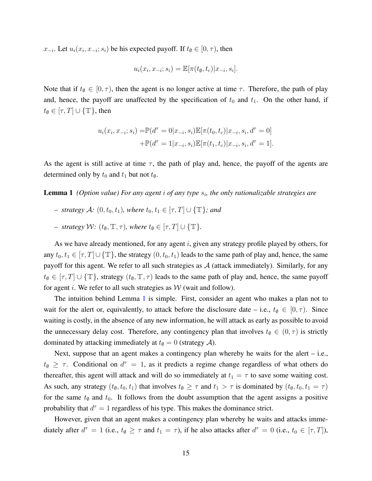$x_{-i}$ . Let  $u_i(x_i, x_{-i}; s_i)$  be his expected payoff. If  $t_{\emptyset} \in [0, \tau)$ , then

$$
u_i(x_i, x_{-i}; s_i) = \mathbb{E}[\pi(t_{\emptyset}, t_c)|x_{-i}, s_i].
$$

Note that if  $t_{\emptyset} \in [0, \tau)$ , then the agent is no longer active at time  $\tau$ . Therefore, the path of play and, hence, the payoff are unaffected by the specification of  $t_0$  and  $t_1$ . On the other hand, if  $t_{\emptyset} \in [\tau, T] \cup \{\mathbb{T}\},\$  then

$$
u_i(x_i, x_{-i}; s_i) = \mathbb{P}(d^{\tau} = 0 | x_{-i}, s_i) \mathbb{E}[\pi(t_0, t_c) | x_{-i}, s_i, d^{\tau} = 0]
$$

$$
+ \mathbb{P}(d^{\tau} = 1 | x_{-i}, s_i) \mathbb{E}[\pi(t_1, t_c) | x_{-i}, s_i, d^{\tau} = 1].
$$

As the agent is still active at time  $\tau$ , the path of play and, hence, the payoff of the agents are determined only by  $t_0$  and  $t_1$  but not  $t_{\emptyset}$ .

<span id="page-15-0"></span>Lemma 1 (Option value) For any agent *i* of any type  $s_i$ , the only rationalizable strategies are

- *– strategy*  $\mathcal{A}$ *:* (0,  $t_0, t_1$ )*, where*  $t_0, t_1$  ∈ [ $\tau$ ,  $T$ ] ∪ { $\mathbb{T}$ *}; and*
- *– strategy*  $W: (t_{\emptyset}, \mathbb{T}, \tau)$ *, where*  $t_{\emptyset} \in [\tau, T] \cup {\mathbb{T}}$ *.*

As we have already mentioned, for any agent  $i$ , given any strategy profile played by others, for any  $t_0, t_1 \in [\tau, T] \cup {\{\mathbb{T}\}}$ , the strategy  $(0, t_0, t_1)$  leads to the same path of play and, hence, the same payoff for this agent. We refer to all such strategies as  $A$  (attack immediately). Similarly, for any  $t_{\emptyset} \in [\tau, T] \cup \{\mathbb{T}\}\$ , strategy  $(t_{\emptyset}, \mathbb{T}, \tau)$  leads to the same path of play and, hence, the same payoff for agent i. We refer to all such strategies as  $W$  (wait and follow).

The intuition behind Lemma [1](#page-15-0) is simple. First, consider an agent who makes a plan not to wait for the alert or, equivalently, to attack before the disclosure date – i.e.,  $t_{\emptyset} \in [0, \tau)$ . Since waiting is costly, in the absence of any new information, he will attack as early as possible to avoid the unnecessary delay cost. Therefore, any contingency plan that involves  $t_{\emptyset} \in (0, \tau)$  is strictly dominated by attacking immediately at  $t$ <sub> $\emptyset$ </sub> = 0 (strategy  $\mathcal{A}$ ).

Next, suppose that an agent makes a contingency plan whereby he waits for the alert – i.e.,  $t_{\emptyset} \geq \tau$ . Conditional on  $d^{\tau} = 1$ , as it predicts a regime change regardless of what others do thereafter, this agent will attack and will do so immediately at  $t_1 = \tau$  to save some waiting cost. As such, any strategy  $(t_{\emptyset}, t_0, t_1)$  that involves  $t_{\emptyset} \geq \tau$  and  $t_1 > \tau$  is dominated by  $(t_{\emptyset}, t_0, t_1 = \tau)$ for the same  $t_{\emptyset}$  and  $t_0$ . It follows from the doubt assumption that the agent assigns a positive probability that  $d^{\tau} = 1$  regardless of his type. This makes the dominance strict.

However, given that an agent makes a contingency plan whereby he waits and attacks immediately after  $d^{\tau} = 1$  (i.e.,  $t_{\emptyset} \geq \tau$  and  $t_1 = \tau$ ), if he also attacks after  $d^{\tau} = 0$  (i.e.,  $t_0 \in [\tau, T]$ ),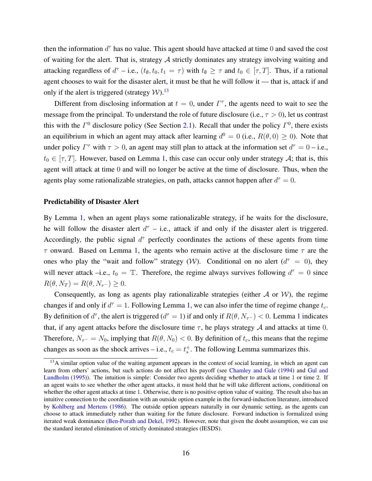then the information  $d^{\tau}$  has no value. This agent should have attacked at time 0 and saved the cost of waiting for the alert. That is, strategy  $A$  strictly dominates any strategy involving waiting and attacking regardless of  $d^{\tau}$  – i.e.,  $(t_{\emptyset}, t_0, t_1 = \tau)$  with  $t_{\emptyset} \geq \tau$  and  $t_0 \in [\tau, T]$ . Thus, if a rational agent chooses to wait for the disaster alert, it must be that he will follow it — that is, attack if and only if the alert is triggered (strategy  $W$ ).<sup>[13](#page-16-1)</sup>

Different from disclosing information at  $t = 0$ , under  $\Gamma^{\tau}$ , the agents need to wait to see the message from the principal. To understand the role of future disclosure (i.e.,  $\tau > 0$ ), let us contrast this with the  $\Gamma^0$  disclosure policy (See Section [2.1\)](#page-12-0). Recall that under the policy  $\Gamma^0$ , there exists an equilibrium in which an agent may attack after learning  $d^0 = 0$  (i.e.,  $R(\theta, 0) \ge 0$ ). Note that under policy  $\Gamma^{\tau}$  with  $\tau > 0$ , an agent may still plan to attack at the information set  $d^{\tau} = 0$  – i.e.,  $t_0 \in [\tau, T]$ . However, based on Lemma [1,](#page-15-0) this case can occur only under strategy A; that is, this agent will attack at time 0 and will no longer be active at the time of disclosure. Thus, when the agents play some rationalizable strategies, on path, attacks cannot happen after  $d^{\tau} = 0$ .

#### Predictability of Disaster Alert

By Lemma [1,](#page-15-0) when an agent plays some rationalizable strategy, if he waits for the disclosure, he will follow the disaster alert  $d^{\tau}$  – i.e., attack if and only if the disaster alert is triggered. Accordingly, the public signal  $d^{\tau}$  perfectly coordinates the actions of these agents from time τ onward. Based on Lemma [1,](#page-15-0) the agents who remain active at the disclosure time τ are the ones who play the "wait and follow" strategy (W). Conditional on no alert ( $d^{\tau} = 0$ ), they will never attack –i.e.,  $t_0 = \mathbb{T}$ . Therefore, the regime always survives following  $d^{\tau} = 0$  since  $R(\theta, N_T) = R(\theta, N_{\tau^-}) \geq 0.$ 

Consequently, as long as agents play rationalizable strategies (either  $\mathcal A$  or  $\mathcal W$ ), the regime changes if and only if  $d^{\tau} = 1$ . Following Lemma [1,](#page-15-0) we can also infer the time of regime change  $t_c$ . By definition of  $d^{\tau}$ , the alert is triggered ( $d^{\tau} = 1$  $d^{\tau} = 1$ ) if and only if  $R(\theta, N_{\tau^-}) < 0$ . Lemma 1 indicates that, if any agent attacks before the disclosure time  $\tau$ , he plays strategy A and attacks at time 0. Therefore,  $N_{\tau^-} = N_0$ , implying that  $R(\theta, N_0) < 0$ . By definition of  $t_c$ , this means that the regime changes as soon as the shock arrives – i.e.,  $t_c = t_s^+$ . The following Lemma summarizes this.

<span id="page-16-1"></span><span id="page-16-0"></span> $13A$  similar option value of the waiting argument appears in the context of social learning, in which an agent can learn from others' actions, but such actions do not affect his payoff (see [Chamley and Gale](#page-30-10) [\(1994\)](#page-30-10) and [Gul and](#page-31-13) [Lundholm](#page-31-13) [\(1995\)](#page-31-13)). The intuition is simple: Consider two agents deciding whether to attack at time 1 or time 2. If an agent waits to see whether the other agent attacks, it must hold that he will take different actions, conditional on whether the other agent attacks at time 1. Otherwise, there is no positive option value of waiting. The result also has an intuitive connection to the coordination with an outside option example in the forward-induction literature, introduced by [Kohlberg and Mertens](#page-32-7) [\(1986\)](#page-32-7). The outside option appears naturally in our dynamic setting, as the agents can choose to attack immediately rather than waiting for the future disclosure. Forward induction is formalized using iterated weak dominance [\(Ben-Porath and Dekel,](#page-30-11) [1992\)](#page-30-11). However, note that given the doubt assumption, we can use the standard iterated elimination of strictly dominated strategies (IESDS).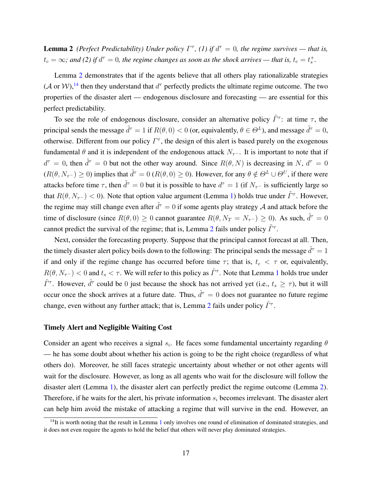**Lemma 2** (Perfect Predictability) Under policy  $\Gamma^{\tau}$ , (1) if  $d^{\tau} = 0$ , the regime survives — that is,  $t_c = \infty$ ; and (2) if  $d^{\tau} = 0$ , the regime changes as soon as the shock arrives — that is,  $t_c = t_s^+$ .

Lemma [2](#page-16-0) demonstrates that if the agents believe that all others play rationalizable strategies  $(A \text{ or } W)$ ,<sup>[14](#page-17-0)</sup> then they understand that  $d^{\tau}$  perfectly predicts the ultimate regime outcome. The two properties of the disaster alert — endogenous disclosure and forecasting — are essential for this perfect predictability.

To see the role of endogenous disclosure, consider an alternative policy  $\tilde{\Gamma}^{\tau}$ : at time  $\tau$ , the principal sends the message  $\tilde{d}^{\tau} = 1$  if  $R(\theta, 0) < 0$  (or, equivalently,  $\theta \in \Theta^L$ ), and message  $\tilde{d}^{\tau} = 0$ , otherwise. Different from our policy  $\Gamma^{\tau}$ , the design of this alert is based purely on the exogenous fundamental  $\theta$  and it is independent of the endogenous attack  $N_{\tau}$ -. It is important to note that if  $d^{\tau} = 0$ , then  $\tilde{d}^{\tau} = 0$  but not the other way around. Since  $R(\theta, N)$  is decreasing in N,  $d^{\tau} = 0$  $(R(\theta, N_{\tau^-}) \ge 0)$  implies that  $\tilde{d}^{\tau} = 0$   $(R(\theta, 0) \ge 0)$ . However, for any  $\theta \notin \Theta^L \cup \Theta^U$ , if there were attacks before time  $\tau$ , then  $\tilde{d}^{\tau} = 0$  but it is possible to have  $d^{\tau} = 1$  (if  $N_{\tau}$ - is sufficiently large so that  $R(\theta, N_{\tau^-}) < 0$ ). Note that option value argument (Lemma [1\)](#page-15-0) holds true under  $\tilde{\Gamma}^{\tau}$ . However, the regime may still change even after  $\tilde{d}^{\tau} = 0$  if some agents play strategy  $\mathcal A$  and attack before the time of disclosure (since  $R(\theta,0) \ge 0$  cannot guarantee  $R(\theta, N_T = N_{\tau}^{-}) \ge 0$ ). As such,  $\tilde{d}^{\tau} = 0$ cannot predict the survival of the regime; that is, Lemma [2](#page-16-0) fails under policy  $\tilde{\Gamma}^{\tau}$ .

Next, consider the forecasting property. Suppose that the principal cannot forecast at all. Then, the timely disaster alert policy boils down to the following: The principal sends the message  $\hat{d}^{\tau} = 1$ if and only if the regime change has occurred before time  $\tau$ ; that is,  $t_c < \tau$  or, equivalently,  $R(\theta, N_{\tau^-}) < 0$  and  $t_s < \tau$ . We will refer to this policy as  $\hat{\Gamma}^{\tau}$ . Note that Lemma [1](#page-15-0) holds true under  $\hat{\Gamma}^{\tau}$ . However,  $\hat{d}^{\tau}$  could be 0 just because the shock has not arrived yet (i.e.,  $t_s \geq \tau$ ), but it will occur once the shock arrives at a future date. Thus,  $\hat{d}^{\tau} = 0$  does not guarantee no future regime change, even without any further attack; that is, Lemma [2](#page-16-0) fails under policy  $\hat{\Gamma}^{\tau}$ .

#### Timely Alert and Negligible Waiting Cost

Consider an agent who receives a signal  $s_i$ . He faces some fundamental uncertainty regarding  $\theta$ — he has some doubt about whether his action is going to be the right choice (regardless of what others do). Moreover, he still faces strategic uncertainty about whether or not other agents will wait for the disclosure. However, as long as all agents who wait for the disclosure will follow the disaster alert (Lemma [1\)](#page-15-0), the disaster alert can perfectly predict the regime outcome (Lemma [2\)](#page-16-0). Therefore, if he waits for the alert, his private information  $s_i$  becomes irrelevant. The disaster alert can help him avoid the mistake of attacking a regime that will survive in the end. However, an

<span id="page-17-0"></span> $14$  $14$ It is worth noting that the result in Lemma 1 only involves one round of elimination of dominated strategies, and it does not even require the agents to hold the belief that others will never play dominated strategies.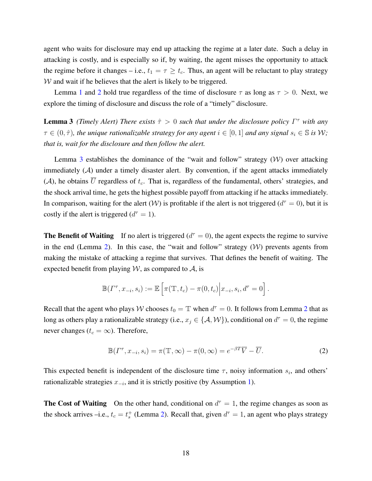agent who waits for disclosure may end up attacking the regime at a later date. Such a delay in attacking is costly, and is especially so if, by waiting, the agent misses the opportunity to attack the regime before it changes – i.e.,  $t_1 = \tau \geq t_c$ . Thus, an agent will be reluctant to play strategy  $W$  and wait if he believes that the alert is likely to be triggered.

Lemma [1](#page-15-0) and [2](#page-16-0) hold true regardless of the time of disclosure  $\tau$  as long as  $\tau > 0$ . Next, we explore the timing of disclosure and discuss the role of a "timely" disclosure.

<span id="page-18-0"></span>**Lemma 3** *(Timely Alert)* There exists  $\hat{\tau} > 0$  such that under the disclosure policy  $\Gamma^{\tau}$  with any  $\tau \in (0, \hat{\tau})$ , the unique rationalizable strategy for any agent  $i \in [0, 1]$  and any signal  $s_i \in \mathbb{S}$  is W; *that is, wait for the disclosure and then follow the alert.*

Lemma [3](#page-18-0) establishes the dominance of the "wait and follow" strategy  $(W)$  over attacking immediately  $(A)$  under a timely disaster alert. By convention, if the agent attacks immediately (A), he obtains  $\overline{U}$  regardless of  $t_c$ . That is, regardless of the fundamental, others' strategies, and the shock arrival time, he gets the highest possible payoff from attacking if he attacks immediately. In comparison, waiting for the alert (W) is profitable if the alert is not triggered ( $d^{\tau} = 0$ ), but it is costly if the alert is triggered  $(d^{\tau} = 1)$ .

**The Benefit of Waiting** If no alert is triggered  $(d^{\tau} = 0)$ , the agent expects the regime to survive in the end (Lemma [2\)](#page-16-0). In this case, the "wait and follow" strategy  $(W)$  prevents agents from making the mistake of attacking a regime that survives. That defines the benefit of waiting. The expected benefit from playing  $W$ , as compared to  $A$ , is

$$
\mathbb{B}(\Gamma^{\tau}, x_{-i}, s_i) := \mathbb{E}\left[\pi(\mathbb{T}, t_c) - \pi(0, t_c)\Big| x_{-i}, s_i, d^{\tau} = 0\right].
$$

Recall that the agent who plays W chooses  $t_0 = \mathbb{T}$  when  $d^{\tau} = 0$ . It follows from Lemma [2](#page-16-0) that as long as others play a rationalizable strategy (i.e.,  $x_j \in \{A, W\}$ ), conditional on  $d^{\tau} = 0$ , the regime never changes ( $t_c = \infty$ ). Therefore,

<span id="page-18-1"></span>
$$
\mathbb{B}(\Gamma^{\tau}, x_{-i}, s_i) = \pi(\mathbb{T}, \infty) - \pi(0, \infty) = e^{-\beta T} \overline{V} - \overline{U}.
$$
 (2)

This expected benefit is independent of the disclosure time  $\tau$ , noisy information  $s_i$ , and others' rationalizable strategies  $x_{-i}$ , and it is strictly positive (by Assumption [1\)](#page-8-1).

**The Cost of Waiting** On the other hand, conditional on  $d^{\tau} = 1$ , the regime changes as soon as the shock arrives –i.e.,  $t_c = t_s^+$  (Lemma [2\)](#page-16-0). Recall that, given  $d^{\tau} = 1$ , an agent who plays strategy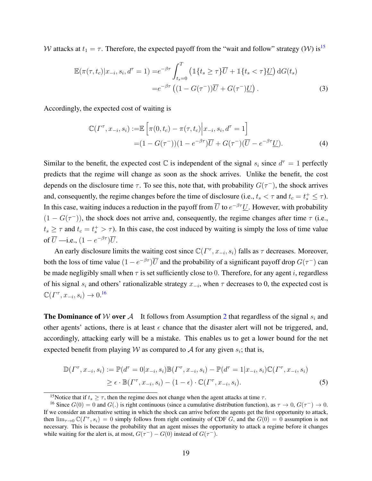W attacks at  $t_1 = \tau$ . Therefore, the expected payoff from the "wait and follow" strategy (W) is<sup>[15](#page-19-1)</sup>

$$
\mathbb{E}(\pi(\tau, t_c)|x_{-i}, s_i, d^{\tau} = 1) = e^{-\beta \tau} \int_{t_s=0}^{T} \left( \mathbb{1}\{t_s \ge \tau\} \overline{U} + \mathbb{1}\{t_s < \tau\} \underline{U}\right) dG(t_s)
$$
  
= 
$$
e^{-\beta \tau} \left( (1 - G(\tau^{-})) \overline{U} + G(\tau^{-}) \underline{U} \right).
$$
 (3)

Accordingly, the expected cost of waiting is

<span id="page-19-2"></span>
$$
\mathbb{C}(\Gamma^{\tau}, x_{-i}, s_i) := \mathbb{E}\left[\pi(0, t_c) - \pi(\tau, t_c)\Big|x_{-i}, s_i, d^{\tau} = 1\right]
$$
  
=  $(1 - G(\tau^{-})) (1 - e^{-\beta \tau}) \overline{U} + G(\tau^{-}) (\overline{U} - e^{-\beta \tau} \underline{U}).$  (4)

Similar to the benefit, the expected cost  $\mathbb C$  is independent of the signal  $s_i$  since  $d^{\dagger} = 1$  perfectly predicts that the regime will change as soon as the shock arrives. Unlike the benefit, the cost depends on the disclosure time  $\tau$ . To see this, note that, with probability  $G(\tau^{-})$ , the shock arrives and, consequently, the regime changes before the time of disclosure (i.e.,  $t_s < \tau$  and  $t_c = t_s^+ \leq \tau$ ). In this case, waiting induces a reduction in the payoff from  $\overline{U}$  to  $e^{-\beta \tau} \underline{U}$ . However, with probability  $(1 - G(\tau^{-}))$ , the shock does not arrive and, consequently, the regime changes after time  $\tau$  (i.e.,  $t_s \geq \tau$  and  $t_c = t_s^+ > \tau$ ). In this case, the cost induced by waiting is simply the loss of time value of  $\overline{U}$  —i.e.,  $(1 - e^{-\beta \tau}) \overline{U}$ .

An early disclosure limits the waiting cost since  $\mathbb{C}(\Gamma^\tau, x_{-i}, s_i)$  falls as  $\tau$  decreases. Moreover, both the loss of time value  $(1 - e^{-\beta \tau})\overline{U}$  and the probability of a significant payoff drop  $G(\tau^-)$  can be made negligibly small when  $\tau$  is set sufficiently close to 0. Therefore, for any agent *i*, regardless of his signal  $s_i$  and others' rationalizable strategy  $x_{-i}$ , when  $\tau$  decreases to 0, the expected cost is  $\mathbb{C}(\Gamma^\tau, x_{-i}, s_i) \to 0$ <sup>[16](#page-19-0)</sup>

**The Dominance of W over A** It follows from Assumption [2](#page-9-1) that regardless of the signal  $s_i$  and other agents' actions, there is at least  $\epsilon$  chance that the disaster alert will not be triggered, and, accordingly, attacking early will be a mistake. This enables us to get a lower bound for the net expected benefit from playing W as compared to A for any given  $s_i$ ; that is,

<span id="page-19-3"></span>
$$
\mathbb{D}(\Gamma^{\tau}, x_{-i}, s_i) := \mathbb{P}(d^{\tau} = 0 | x_{-i}, s_i) \mathbb{B}(\Gamma^{\tau}, x_{-i}, s_i) - \mathbb{P}(d^{\tau} = 1 | x_{-i}, s_i) \mathbb{C}(\Gamma^{\tau}, x_{-i}, s_i) \geq \epsilon \cdot \mathbb{B}(\Gamma^{\tau}, x_{-i}, s_i) - (1 - \epsilon) \cdot \mathbb{C}(\Gamma^{\tau}, x_{-i}, s_i).
$$
\n(5)

<span id="page-19-1"></span><span id="page-19-0"></span><sup>&</sup>lt;sup>15</sup>Notice that if  $t_s \geq \tau$ , then the regime does not change when the agent attacks at time  $\tau$ .

<sup>&</sup>lt;sup>16</sup> Since  $G(0) = 0$  and  $G(.)$  is right continuous (since a cumulative distribution function), as  $\tau \to 0$ ,  $G(\tau^-) \to 0$ . If we consider an alternative setting in which the shock can arrive before the agents get the first opportunity to attack, then  $\lim_{\tau\to 0} \mathbb{C}(\Gamma^\tau, s_i) = 0$  simply follows from right continuity of CDF G, and the  $G(0) = 0$  assumption is not necessary. This is because the probability that an agent misses the opportunity to attack a regime before it changes while waiting for the alert is, at most,  $G(\tau^-) - G(0)$  instead of  $G(\tau^-)$ .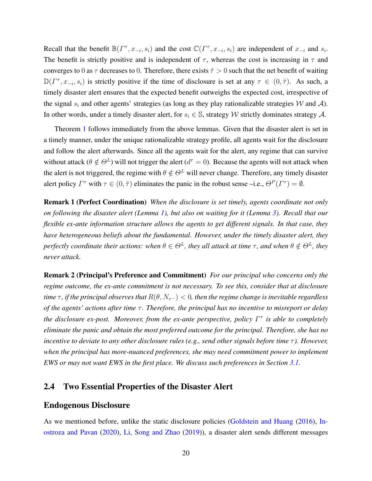Recall that the benefit  $\mathbb{B}(\Gamma^\tau, x_{-i}, s_i)$  and the cost  $\mathbb{C}(\Gamma^\tau, x_{-i}, s_i)$  are independent of  $x_{-i}$  and  $s_i$ . The benefit is strictly positive and is independent of  $\tau$ , whereas the cost is increasing in  $\tau$  and converges to 0 as  $\tau$  decreases to 0. Therefore, there exists  $\hat{\tau} > 0$  such that the net benefit of waiting  $\mathbb{D}(\Gamma^{\tau}, x_{-i}, s_i)$  is strictly positive if the time of disclosure is set at any  $\tau \in (0, \hat{\tau})$ . As such, a timely disaster alert ensures that the expected benefit outweighs the expected cost, irrespective of the signal  $s_i$  and other agents' strategies (as long as they play rationalizable strategies W and A). In other words, under a timely disaster alert, for  $s_i \in \mathbb{S}$ , strategy W strictly dominates strategy A.

Theorem [1](#page-14-0) follows immediately from the above lemmas. Given that the disaster alert is set in a timely manner, under the unique rationalizable strategy profile, all agents wait for the disclosure and follow the alert afterwards. Since all the agents wait for the alert, any regime that can survive without attack ( $\theta \notin \Theta^L$ ) will not trigger the alert ( $d^{\tau} = 0$ ). Because the agents will not attack when the alert is not triggered, the regime with  $\theta \notin \Theta^L$  will never change. Therefore, any timely disaster alert policy  $\Gamma^{\tau}$  with  $\tau \in (0, \hat{\tau})$  eliminates the panic in the robust sense –i.e.,  $\Theta^P(\Gamma^{\tau}) = \emptyset$ .

Remark 1 (Perfect Coordination) *When the disclosure is set timely, agents coordinate not only on following the disaster alert (Lemma [1\)](#page-15-0), but also on waiting for it (Lemma [3\)](#page-18-0). Recall that our flexible ex-ante information structure allows the agents to get different signals. In that case, they have heterogeneous beliefs about the fundamental. However, under the timely disaster alert, they perfectly coordinate their actions: when*  $\theta \in \Theta^L$ , *they all attack at time*  $\tau$ *, and when*  $\theta \notin \Theta^L$ *, they never attack.*

Remark 2 (Principal's Preference and Commitment) *For our principal who concerns only the regime outcome, the ex-ante commitment is not necessary. To see this, consider that at disclosure time*  $\tau$ , *if the principal observes that*  $R(\theta, N_{\tau^-}) < 0$ , then the regime change is inevitable regardless *of the agents' actions after time τ*. Therefore, the principal has no incentive to misreport or delay *the disclosure ex-post. Moreover, from the ex-ante perspective, policy* Γ τ *is able to completely eliminate the panic and obtain the most preferred outcome for the principal. Therefore, she has no incentive to deviate to any other disclosure rules (e.g., send other signals before time* τ). However, *when the principal has more-nuanced preferences, she may need commitment power to implement EWS or may not want EWS in the first place. We discuss such preferences in Section* [3.1.](#page-23-1)

## 2.4 Two Essential Properties of the Disaster Alert

### Endogenous Disclosure

As we mentioned before, unlike the static disclosure policies [\(Goldstein and Huang](#page-31-4) [\(2016\)](#page-31-4), [In](#page-31-5)[ostroza and Pavan](#page-31-5) [\(2020\)](#page-31-5), [Li, Song and Zhao](#page-32-2) [\(2019\)](#page-32-2)), a disaster alert sends different messages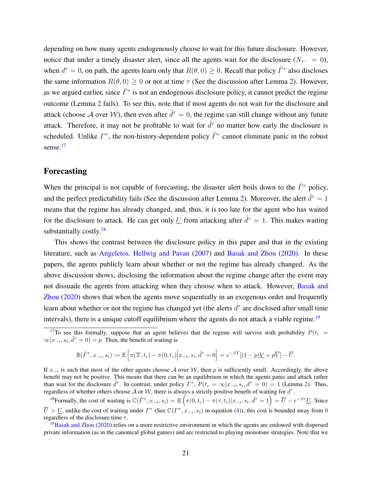depending on how many agents endogenously choose to wait for this future disclosure. However, notice that under a timely disaster alert, since all the agents wait for the disclosure ( $N_{\tau-} = 0$ ), when  $d^{\tau} = 0$ , on path, the agents learn only that  $R(\theta, 0) \ge 0$ . Recall that policy  $\tilde{\Gamma}^{\tau}$  also discloses the same information  $R(\theta, 0) > 0$  or not at time  $\tau$  (See the discussion after Lemma [2\)](#page-16-0). However, as we argued earlier, since  $\tilde{\Gamma}^{\tau}$  is not an endogenous disclosure policy, it cannot predict the regime outcome (Lemma [2](#page-16-0) fails). To see this, note that if most agents do not wait for the disclosure and attack (choose A over W), then even after  $\tilde{d}^{\tau} = 0$ , the regime can still change without any future attack. Therefore, it may not be profitable to wait for  $\tilde{d}^{\tau}$  no matter how early the disclosure is scheduled. Unlike  $\Gamma^{\tau}$ , the non-history-dependent policy  $\tilde{\Gamma}^{\tau}$  cannot eliminate panic in the robust sense.<sup>[17](#page-21-0)</sup>

## Forecasting

When the principal is not capable of forecasting, the disaster alert boils down to the  $\hat{\Gamma}^{\tau}$  policy, and the perfect predictability fails (See the discussion after Lemma [2\)](#page-16-0). Moreover, the alert  $\hat{d}^{\tau} = 1$ means that the regime has already changed, and, thus, it is too late for the agent who has waited for the disclosure to attack. He can get only U from attacking after  $\hat{d}^{\tau} = 1$ . This makes waiting substantially costly. $18$ 

This shows the contrast between the disclosure policy in this paper and that in the existing literature, such as [Angeletos, Hellwig and Pavan](#page-30-4) [\(2007\)](#page-30-4) and [Basak and Zhou](#page-30-0) [\(2020\)](#page-30-0). In these papers, the agents publicly learn about whether or not the regime has already changed. As the above discussion shows, disclosing the information about the regime change after the event may not dissuade the agents from attacking when they choose when to attack. However, [Basak and](#page-30-0) [Zhou](#page-30-0) [\(2020\)](#page-30-0) shows that when the agents move sequentially in an exogenous order and frequently learn about whether or not the regime has changed yet (the alerts  $\hat{d}^{\tau}$  are disclosed after small time intervals), there is a unique cutoff equilibrium where the agents do not attack a viable regime.<sup>[19](#page-21-2)</sup>

$$
\mathbb{B}(\tilde{\Gamma}^{\tau}, x_{-i}, s_i) := \mathbb{E}\left[\pi(\mathbb{T}, t_c) - \pi(0, t_c)\Big| x_{-i}, s_i, \tilde{d}^{\tau} = 0\right] = e^{-\beta T}[(1-p)\underline{V} + p\overline{V}] - \overline{U}.
$$

If  $x_{-i}$  is such that most of the other agents choose A over W, then p is sufficiently small. Accordingly, the above benefit may not be positive. This means that there can be an equilibrium in which the agents panic and attack rather than wait for the disclosure  $\tilde{d}^{\tau}$ . In contrast, under policy  $\Gamma^{\tau}$ ,  $P(t_c = \infty | x_{-i}, s_i, d^{\tau} = 0) = 1$  (Lemma [2\)](#page-16-0). Thus, regardless of whether others choose  $A$  or  $W$ , there is always a strictly positive benefit of waiting for  $d^{\tau}$ .

<span id="page-21-1"></span><sup>18</sup> Formally, the cost of waiting is  $\mathbb{C}(\hat{\Gamma}^{\tau}, x_{-i}, s_i) = \mathbb{E}\left(\pi(0, t_c) - \pi(\tau, t_c)|x_{-i}, s_i, \hat{d}^{\tau} = 1\right) = \overline{U} - e^{-\beta \tau} \underline{U}$ . Since  $\overline{U} > \underline{U}$ , unlike the cost of waiting under  $\Gamma^{\tau}$  (See  $\mathbb{C}(\Gamma^{\tau}, x_{-i}, s_i)$  in equation [\(4\)](#page-19-2)), this cost is bounded away from 0 regardless of the disclosure time  $\tau$ .

<span id="page-21-2"></span> $19$ [Basak and Zhou](#page-30-0) [\(2020\)](#page-30-0) relies on a more restrictive environment in which the agents are endowed with dispersed private information (as in the canonical global games) and are restricted to playing monotone strategies. Note that we

<span id="page-21-0"></span><sup>&</sup>lt;sup>17</sup>To see this formally, suppose that an agent believes that the regime will survive with probability  $P(t_c =$  $\infty | x_{-i}, s_i, \tilde{d}^\tau = 0) = p$ . Then, the benefit of waiting is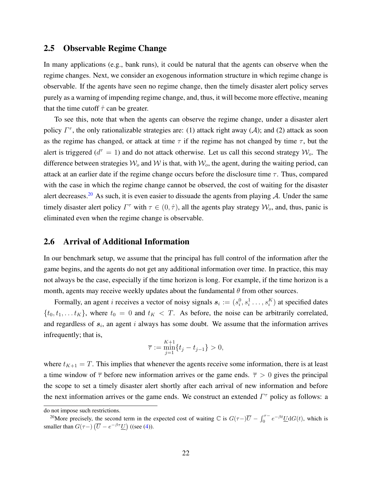## <span id="page-22-0"></span>2.5 Observable Regime Change

In many applications (e.g., bank runs), it could be natural that the agents can observe when the regime changes. Next, we consider an exogenous information structure in which regime change is observable. If the agents have seen no regime change, then the timely disaster alert policy serves purely as a warning of impending regime change, and, thus, it will become more effective, meaning that the time cutoff  $\hat{\tau}$  can be greater.

To see this, note that when the agents can observe the regime change, under a disaster alert policy  $\Gamma^{\tau}$ , the only rationalizable strategies are: (1) attack right away (A); and (2) attack as soon as the regime has changed, or attack at time  $\tau$  if the regime has not changed by time  $\tau$ , but the alert is triggered ( $d^{\tau} = 1$ ) and do not attack otherwise. Let us call this second strategy  $\mathcal{W}_o$ . The difference between strategies  $W_0$  and W is that, with  $W_0$ , the agent, during the waiting period, can attack at an earlier date if the regime change occurs before the disclosure time  $\tau$ . Thus, compared with the case in which the regime change cannot be observed, the cost of waiting for the disaster alert decreases.<sup>[20](#page-22-2)</sup> As such, it is even easier to dissuade the agents from playing A. Under the same timely disaster alert policy  $\Gamma^{\tau}$  with  $\tau \in (0, \hat{\tau})$ , all the agents play strategy  $\mathcal{W}_o$ , and, thus, panic is eliminated even when the regime change is observable.

## <span id="page-22-1"></span>2.6 Arrival of Additional Information

In our benchmark setup, we assume that the principal has full control of the information after the game begins, and the agents do not get any additional information over time. In practice, this may not always be the case, especially if the time horizon is long. For example, if the time horizon is a month, agents may receive weekly updates about the fundamental  $\theta$  from other sources.

Formally, an agent *i* receives a vector of noisy signals  $s_i := (s_i^0, s_i^1 \dots, s_i^K)$  at specified dates  $\{t_0, t_1, \ldots, t_K\}$ , where  $t_0 = 0$  and  $t_K < T$ . As before, the noise can be arbitrarily correlated, and regardless of  $s_i$ , an agent i always has some doubt. We assume that the information arrives infrequently; that is,

$$
\overline{\tau} := \min_{j=1}^{K+1} \{ t_j - t_{j-1} \} > 0,
$$

where  $t_{K+1} = T$ . This implies that whenever the agents receive some information, there is at least a time window of  $\bar{\tau}$  before new information arrives or the game ends.  $\bar{\tau} > 0$  gives the principal the scope to set a timely disaster alert shortly after each arrival of new information and before the next information arrives or the game ends. We construct an extended  $\Gamma^{\tau}$  policy as follows: a

do not impose such restrictions.

<span id="page-22-2"></span><sup>&</sup>lt;sup>20</sup>More precisely, the second term in the expected cost of waiting  $\mathbb C$  is  $G(\tau-) \overline{U} - \int_0^{\tau-} e^{-\beta t} \underline{U} dG(t)$ , which is smaller than  $G(\tau-) (\overline{U} - e^{-\beta \tau} \underline{U})$  ((see [\(4\)](#page-19-2)).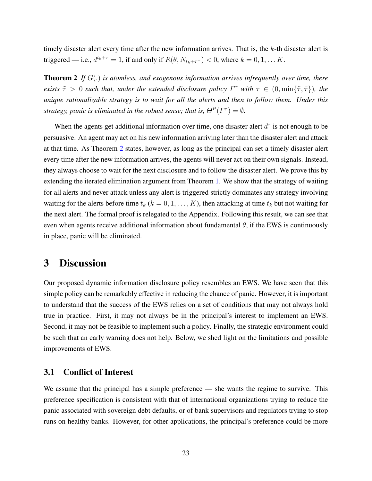timely disaster alert every time after the new information arrives. That is, the  $k$ -th disaster alert is triggered — i.e.,  $d^{t_k+\tau} = 1$ , if and only if  $R(\theta, N_{t_k+\tau-}) < 0$ , where  $k = 0, 1, \dots K$ .

<span id="page-23-2"></span>Theorem 2 *If* G(.) *is atomless, and exogenous information arrives infrequently over time, there exists*  $\tilde{\tau} > 0$  *such that, under the extended disclosure policy*  $\Gamma^{\tau}$  *with*  $\tau \in (0, \min\{\tilde{\tau}, \bar{\tau}\})$ *, the unique rationalizable strategy is to wait for all the alerts and then to follow them. Under this strategy, panic is eliminated in the robust sense; that is,*  $\Theta^P(\Gamma^{\tau}) = \emptyset$ *.* 

When the agents get additional information over time, one disaster alert  $d^{\tau}$  is not enough to be persuasive. An agent may act on his new information arriving later than the disaster alert and attack at that time. As Theorem [2](#page-23-2) states, however, as long as the principal can set a timely disaster alert every time after the new information arrives, the agents will never act on their own signals. Instead, they always choose to wait for the next disclosure and to follow the disaster alert. We prove this by extending the iterated elimination argument from Theorem [1.](#page-14-0) We show that the strategy of waiting for all alerts and never attack unless any alert is triggered strictly dominates any strategy involving waiting for the alerts before time  $t_k$  ( $k = 0, 1, \ldots, K$ ), then attacking at time  $t_k$  but not waiting for the next alert. The formal proof is relegated to the Appendix. Following this result, we can see that even when agents receive additional information about fundamental  $\theta$ , if the EWS is continuously in place, panic will be eliminated.

## <span id="page-23-0"></span>3 Discussion

Our proposed dynamic information disclosure policy resembles an EWS. We have seen that this simple policy can be remarkably effective in reducing the chance of panic. However, it is important to understand that the success of the EWS relies on a set of conditions that may not always hold true in practice. First, it may not always be in the principal's interest to implement an EWS. Second, it may not be feasible to implement such a policy. Finally, the strategic environment could be such that an early warning does not help. Below, we shed light on the limitations and possible improvements of EWS.

## <span id="page-23-1"></span>3.1 Conflict of Interest

We assume that the principal has a simple preference — she wants the regime to survive. This preference specification is consistent with that of international organizations trying to reduce the panic associated with sovereign debt defaults, or of bank supervisors and regulators trying to stop runs on healthy banks. However, for other applications, the principal's preference could be more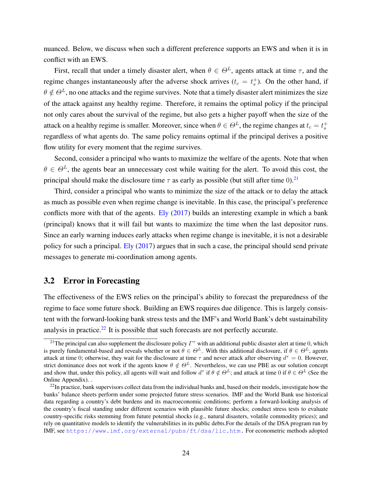nuanced. Below, we discuss when such a different preference supports an EWS and when it is in conflict with an EWS.

First, recall that under a timely disaster alert, when  $\theta \in \Theta^L$ , agents attack at time  $\tau$ , and the regime changes instantaneously after the adverse shock arrives  $(t_c = t_s^+)$ . On the other hand, if  $\theta \notin \Theta^L$ , no one attacks and the regime survives. Note that a timely disaster alert minimizes the size of the attack against any healthy regime. Therefore, it remains the optimal policy if the principal not only cares about the survival of the regime, but also gets a higher payoff when the size of the attack on a healthy regime is smaller. Moreover, since when  $\theta \in \Theta^L$ , the regime changes at  $t_c = t_s^+$ regardless of what agents do. The same policy remains optimal if the principal derives a positive flow utility for every moment that the regime survives.

Second, consider a principal who wants to maximize the welfare of the agents. Note that when  $\theta \in \Theta^L$ , the agents bear an unnecessary cost while waiting for the alert. To avoid this cost, the principal should make the disclosure time  $\tau$  as early as possible (but still after time 0).<sup>[21](#page-24-1)</sup>

Third, consider a principal who wants to minimize the size of the attack or to delay the attack as much as possible even when regime change is inevitable. In this case, the principal's preference conflicts more with that of the agents. [Ely](#page-31-11) [\(2017\)](#page-31-11) builds an interesting example in which a bank (principal) knows that it will fail but wants to maximize the time when the last depositor runs. Since an early warning induces early attacks when regime change is inevitable, it is not a desirable policy for such a principal. [Ely](#page-31-11) [\(2017\)](#page-31-11) argues that in such a case, the principal should send private messages to generate mi-coordination among agents.

## <span id="page-24-0"></span>3.2 Error in Forecasting

The effectiveness of the EWS relies on the principal's ability to forecast the preparedness of the regime to face some future shock. Building an EWS requires due diligence. This is largely consistent with the forward-looking bank stress tests and the IMF's and World Bank's debt sustainability analysis in practice.<sup>[22](#page-24-2)</sup> It is possible that such forecasts are not perfectly accurate.

<span id="page-24-1"></span><sup>&</sup>lt;sup>21</sup>The principal can also supplement the disclosure policy  $\Gamma^{\tau}$  with an additional public disaster alert at time 0, which is purely fundamental-based and reveals whether or not  $\theta \in \Theta^L$ . With this additional disclosure, if  $\theta \in \Theta^L$ , agents attack at time 0; otherwise, they wait for the disclosure at time  $\tau$  and never attack after observing  $d^{\tau} = 0$ . However, strict dominance does not work if the agents know  $\theta \notin \Theta^L$ . Nevertheless, we can use PBE as our solution concept and show that, under this policy, all agents will wait and follow  $d^{\tau}$  if  $\theta \notin \Theta^L$ ; and attack at time 0 if  $\theta \in \Theta^L$  (See the Online Appendix). .

<span id="page-24-2"></span> $^{22}$ In practice, bank supervisors collect data from the individual banks and, based on their models, investigate how the banks' balance sheets perform under some projected future stress scenarios. IMF and the World Bank use historical data regarding a country's debt burdens and its macroeconomic conditions; perform a forward-looking analysis of the country's fiscal standing under different scenarios with plausible future shocks; conduct stress tests to evaluate country-specific risks stemming from future potential shocks (e.g., natural disasters, volatile commodity prices); and rely on quantitative models to identify the vulnerabilities in its public debts.For the details of the DSA program run by IMF, see <https://www.imf.org/external/pubs/ft/dsa/lic.htm.> For econometric methods adopted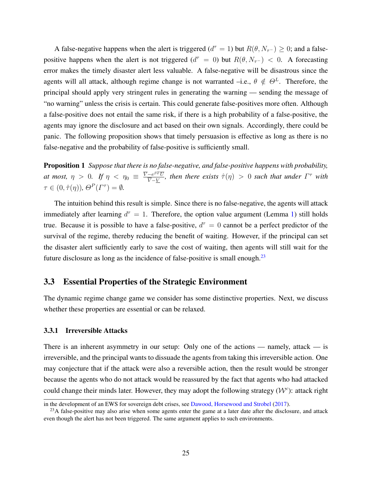A false-negative happens when the alert is triggered ( $d^{\tau} = 1$ ) but  $R(\theta, N_{\tau^{-}}) \geq 0$ ; and a falsepositive happens when the alert is not triggered  $(d^{\tau} = 0)$  but  $R(\theta, N_{\tau-}) < 0$ . A forecasting error makes the timely disaster alert less valuable. A false-negative will be disastrous since the agents will all attack, although regime change is not warranted –i.e.,  $\theta \notin \Theta^L$ . Therefore, the principal should apply very stringent rules in generating the warning — sending the message of "no warning" unless the crisis is certain. This could generate false-positives more often. Although a false-positive does not entail the same risk, if there is a high probability of a false-positive, the agents may ignore the disclosure and act based on their own signals. Accordingly, there could be panic. The following proposition shows that timely persuasion is effective as long as there is no false-negative and the probability of false-positive is sufficiently small.

<span id="page-25-1"></span>Proposition 1 *Suppose that there is no false-negative, and false-positive happens with probability, at most,*  $\eta > 0$ *. If*  $\eta < \eta_0 \equiv \frac{\overline{V} - e^{\beta T} \overline{U}}{\overline{V} - V}$  $\frac{-e^{\beta T}U}{\nabla - Y}$ , then there exists  $\hat{\tau}(\eta) > 0$  such that under  $\Gamma^{\tau}$  with  $\tau \in (0, \hat{\tau}(\eta)), \Theta^P(\Gamma^{\tau}) = \emptyset.$ 

The intuition behind this result is simple. Since there is no false-negative, the agents will attack immediately after learning  $d^{\tau} = 1$ . Therefore, the option value argument (Lemma [1\)](#page-15-0) still holds true. Because it is possible to have a false-positive,  $d^{\tau} = 0$  cannot be a perfect predictor of the survival of the regime, thereby reducing the benefit of waiting. However, if the principal can set the disaster alert sufficiently early to save the cost of waiting, then agents will still wait for the future disclosure as long as the incidence of false-positive is small enough. $^{23}$  $^{23}$  $^{23}$ 

## 3.3 Essential Properties of the Strategic Environment

The dynamic regime change game we consider has some distinctive properties. Next, we discuss whether these properties are essential or can be relaxed.

### 3.3.1 Irreversible Attacks

There is an inherent asymmetry in our setup: Only one of the actions — namely, attack — is irreversible, and the principal wants to dissuade the agents from taking this irreversible action. One may conjecture that if the attack were also a reversible action, then the result would be stronger because the agents who do not attack would be reassured by the fact that agents who had attacked could change their minds later. However, they may adopt the following strategy  $(W^c)$ : attack right

in the development of an EWS for sovereign debt crises, see [Dawood, Horsewood and Strobel](#page-31-14) [\(2017\)](#page-31-14).

<span id="page-25-0"></span> $^{23}$ A false-positive may also arise when some agents enter the game at a later date after the disclosure, and attack even though the alert has not been triggered. The same argument applies to such environments.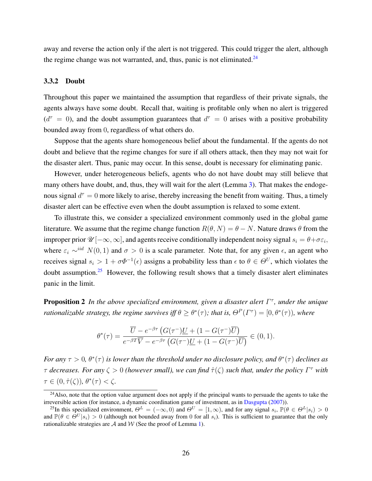away and reverse the action only if the alert is not triggered. This could trigger the alert, although the regime change was not warranted, and, thus, panic is not eliminated. $24$ 

#### <span id="page-26-0"></span>3.3.2 Doubt

Throughout this paper we maintained the assumption that regardless of their private signals, the agents always have some doubt. Recall that, waiting is profitable only when no alert is triggered  $(d^{\tau} = 0)$ , and the doubt assumption guarantees that  $d^{\tau} = 0$  arises with a positive probability bounded away from 0, regardless of what others do.

Suppose that the agents share homogeneous belief about the fundamental. If the agents do not doubt and believe that the regime changes for sure if all others attack, then they may not wait for the disaster alert. Thus, panic may occur. In this sense, doubt is necessary for eliminating panic.

However, under heterogeneous beliefs, agents who do not have doubt may still believe that many others have doubt, and, thus, they will wait for the alert (Lemma [3\)](#page-18-0). That makes the endogenous signal  $d^{\tau} = 0$  more likely to arise, thereby increasing the benefit from waiting. Thus, a timely disaster alert can be effective even when the doubt assumption is relaxed to some extent.

To illustrate this, we consider a specialized environment commonly used in the global game literature. We assume that the regime change function  $R(\theta, N) = \theta - N$ . Nature draws  $\theta$  from the improper prior  $\mathscr{U}[-\infty,\infty]$ , and agents receive conditionally independent noisy signal  $s_i = \theta + \sigma \varepsilon_i$ , where  $\varepsilon_i \sim^{iid} N(0, 1)$  and  $\sigma > 0$  is a scale parameter. Note that, for any given  $\epsilon$ , an agent who receives signal  $s_i > 1 + \sigma \Phi^{-1}(\epsilon)$  assigns a probability less than  $\epsilon$  to  $\theta \in \Theta^U$ , which violates the doubt assumption.<sup>[25](#page-26-2)</sup> However, the following result shows that a timely disaster alert eliminates panic in the limit.

<span id="page-26-3"></span>**Proposition 2** In the above specialized environment, given a disaster alert Γ<sup>τ</sup>, under the unique *rationalizable strategy, the regime survives iff*  $\theta \ge \theta^*(\tau)$ ; that is,  $\Theta^P(\Gamma^{\tau}) = [0, \theta^*(\tau))$ , where

$$
\theta^*(\tau) = \frac{\overline{U} - e^{-\beta \tau} \left( G(\tau^-) \underline{U} + (1 - G(\tau^-) \overline{U} \right)}{e^{-\beta T} \overline{V} - e^{-\beta \tau} \left( G(\tau^-) \underline{U} + (1 - G(\tau^-) \overline{U} \right)} \in (0, 1).
$$

*For any*  $\tau > 0$ ,  $\theta^*(\tau)$  is lower than the threshold under no disclosure policy, and  $\theta^*(\tau)$  declines as  $\tau$  *decreases. For any*  $\zeta > 0$  (however small), we can find  $\hat{\tau}(\zeta)$  such that, under the policy  $\Gamma^{\tau}$  with  $\tau \in (0, \hat{\tau}(\zeta)), \, \theta^*(\tau) < \zeta.$ 

<span id="page-26-1"></span><sup>&</sup>lt;sup>24</sup>Also, note that the option value argument does not apply if the principal wants to persuade the agents to take the irreversible action (for instance, a dynamic coordination game of investment, as in [Dasgupta](#page-31-6) [\(2007\)](#page-31-6)).

<span id="page-26-2"></span><sup>&</sup>lt;sup>25</sup>In this specialized environment,  $\Theta^L = (-\infty, 0)$  and  $\Theta^U = [1, \infty)$ , and for any signal  $s_i$ ,  $\mathbb{P}(\theta \in \Theta^L | s_i) > 0$ and  $\mathbb{P}(\theta \in \Theta^U | s_i) > 0$  (although not bounded away from 0 for all  $s_i$ ). This is sufficient to guarantee that the only rationalizable strategies are  $A$  and  $W$  (See the proof of Lemma [1\)](#page-15-0).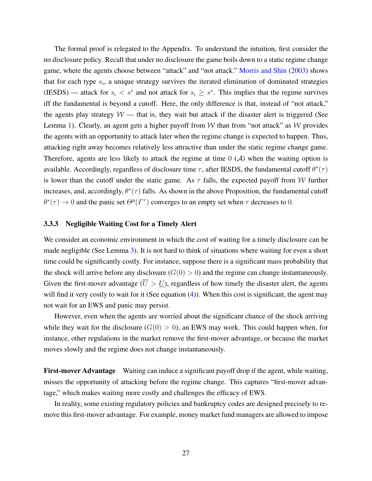The formal proof is relegated to the Appendix. To understand the intuition, first consider the no disclosure policy. Recall that under no disclosure the game boils down to a static regime change game, where the agents choose between "attack" and "not attack." [Morris and Shin](#page-32-6) [\(2003\)](#page-32-6) shows that for each type  $s_i$ , a unique strategy survives the iterated elimination of dominated strategies (IESDS) — attack for  $s_i < s^*$  and not attack for  $s_i \geq s^*$ . This implies that the regime survives iff the fundamental is beyond a cutoff. Here, the only difference is that, instead of "not attack," the agents play strategy  $W$  — that is, they wait but attack if the disaster alert is triggered (See Lemma [1\)](#page-15-0). Clearly, an agent gets a higher payoff from W than from "not attack" as  $W$  provides the agents with an opportunity to attack later when the regime change is expected to happen. Thus, attacking right away becomes relatively less attractive than under the static regime change game. Therefore, agents are less likely to attack the regime at time  $0 \, (\mathcal{A})$  when the waiting option is available. Accordingly, regardless of disclosure time  $\tau$ , after IESDS, the fundamental cutoff  $\theta^*(\tau)$ is lower than the cutoff under the static game. As  $\tau$  falls, the expected payoff from W further increases, and, accordingly,  $\theta^*(\tau)$  falls. As shown in the above Proposition, the fundamental cutoff  $\theta^*(\tau) \to 0$  and the panic set  $\Theta^p(\Gamma^{\tau})$  converges to an empty set when  $\tau$  decreases to 0.

## 3.3.3 Negligible Waiting Cost for a Timely Alert

We consider an economic environment in which the cost of waiting for a timely disclosure can be made negligible (See Lemma [3\)](#page-18-0). It is not hard to think of situations where waiting for even a short time could be significantly costly. For instance, suppose there is a significant mass probability that the shock will arrive before any disclosure  $(G(0) > 0)$  and the regime can change instantaneously. Given the first-mover advantage  $(\overline{U} > \underline{U})$ , regardless of how timely the disaster alert, the agents will find it very costly to wait for it (See equation [\(4\)](#page-19-2)). When this cost is significant, the agent may not wait for an EWS and panic may persist.

However, even when the agents are worried about the significant chance of the shock arriving while they wait for the disclosure  $(G(0) > 0)$ , an EWS may work. This could happen when, for instance, other regulations in the market remove the first-mover advantage, or because the market moves slowly and the regime does not change instantaneously.

First-mover Advantage Waiting can induce a significant payoff drop if the agent, while waiting, misses the opportunity of attacking before the regime change. This captures "first-mover advantage," which makes waiting more costly and challenges the efficacy of EWS.

In reality, some existing regulatory policies and bankruptcy codes are designed precisely to remove this first-mover advantage. For example, money market fund managers are allowed to impose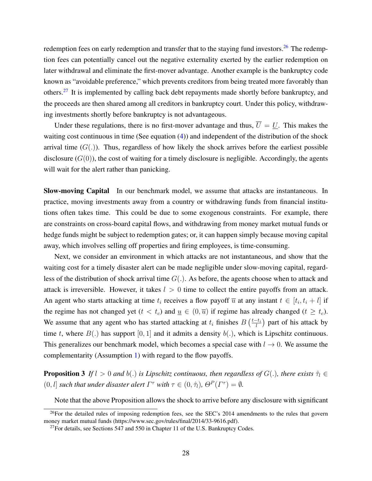redemption fees on early redemption and transfer that to the staying fund investors.<sup>[26](#page-28-1)</sup> The redemption fees can potentially cancel out the negative externality exerted by the earlier redemption on later withdrawal and eliminate the first-mover advantage. Another example is the bankruptcy code known as "avoidable preference," which prevents creditors from being treated more favorably than others.[27](#page-28-2) It is implemented by calling back debt repayments made shortly before bankruptcy, and the proceeds are then shared among all creditors in bankruptcy court. Under this policy, withdrawing investments shortly before bankruptcy is not advantageous.

Under these regulations, there is no first-mover advantage and thus,  $\overline{U} = U$ . This makes the waiting cost continuous in time (See equation [\(4\)](#page-19-2)) and independent of the distribution of the shock arrival time  $(G(.))$ . Thus, regardless of how likely the shock arrives before the earliest possible disclosure  $(G(0))$ , the cost of waiting for a timely disclosure is negligible. Accordingly, the agents will wait for the alert rather than panicking.

Slow-moving Capital In our benchmark model, we assume that attacks are instantaneous. In practice, moving investments away from a country or withdrawing funds from financial institutions often takes time. This could be due to some exogenous constraints. For example, there are constraints on cross-board capital flows, and withdrawing from money market mutual funds or hedge funds might be subject to redemption gates; or, it can happen simply because moving capital away, which involves selling off properties and firing employees, is time-consuming.

Next, we consider an environment in which attacks are not instantaneous, and show that the waiting cost for a timely disaster alert can be made negligible under slow-moving capital, regardless of the distribution of shock arrival time  $G(.)$ . As before, the agents choose when to attack and attack is irreversible. However, it takes  $l > 0$  time to collect the entire payoffs from an attack. An agent who starts attacking at time  $t_i$  receives a flow payoff  $\overline{u}$  at any instant  $t \in [t_i, t_i + l]$  if the regime has not changed yet  $(t < t_c)$  and  $\underline{u} \in (0, \overline{u})$  if regime has already changed  $(t \geq t_c)$ . We assume that any agent who has started attacking at  $t_i$  finishes  $B\left(\frac{t-t_i}{l}\right)$  $\frac{e^{-t_i}}{l}$ ) part of his attack by time t, where  $B(.)$  has support  $[0, 1]$  and it admits a density  $b(.)$ , which is Lipschitz continuous. This generalizes our benchmark model, which becomes a special case with  $l \to 0$ . We assume the complementarity (Assumption [1\)](#page-8-1) with regard to the flow payoffs.

<span id="page-28-0"></span>**Proposition 3** *If*  $l > 0$  *and*  $b(.)$  *is Lipschitz continuous, then regardless of*  $G(.)$ *, there exists*  $\hat{\tau}_l \in$  $(0, l]$  *such that under disaster alert*  $\Gamma^{\tau}$  *with*  $\tau \in (0, \hat{\tau}_l)$ ,  $\Theta^P(\Gamma^{\tau}) = \emptyset$ .

<span id="page-28-1"></span>Note that the above Proposition allows the shock to arrive before any disclosure with significant

 $^{26}$ For the detailed rules of imposing redemption fees, see the SEC's 2014 amendments to the rules that govern money market mutual funds (https://www.sec.gov/rules/final/2014/33-9616.pdf).

<span id="page-28-2"></span> $^{27}$ For details, see Sections 547 and 550 in Chapter 11 of the U.S. Bankruptcy Codes.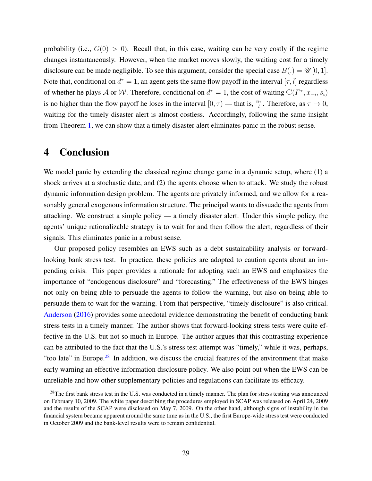probability (i.e.,  $G(0) > 0$ ). Recall that, in this case, waiting can be very costly if the regime changes instantaneously. However, when the market moves slowly, the waiting cost for a timely disclosure can be made negligible. To see this argument, consider the special case  $B(.) = \mathcal{U}[0, 1]$ . Note that, conditional on  $d^{\tau} = 1$ , an agent gets the same flow payoff in the interval  $[\tau, l]$  regardless of whether he plays A or W. Therefore, conditional on  $d^{\tau} = 1$ , the cost of waiting  $\mathbb{C}(\Gamma^{\tau}, x_{-i}, s_i)$ is no higher than the flow payoff he loses in the interval  $[0, \tau)$  — that is,  $\frac{\bar{u}\tau}{l}$ . Therefore, as  $\tau \to 0$ , waiting for the timely disaster alert is almost costless. Accordingly, following the same insight from Theorem [1,](#page-14-0) we can show that a timely disaster alert eliminates panic in the robust sense.

## <span id="page-29-0"></span>4 Conclusion

We model panic by extending the classical regime change game in a dynamic setup, where (1) a shock arrives at a stochastic date, and (2) the agents choose when to attack. We study the robust dynamic information design problem. The agents are privately informed, and we allow for a reasonably general exogenous information structure. The principal wants to dissuade the agents from attacking. We construct a simple policy — a timely disaster alert. Under this simple policy, the agents' unique rationalizable strategy is to wait for and then follow the alert, regardless of their signals. This eliminates panic in a robust sense.

Our proposed policy resembles an EWS such as a debt sustainability analysis or forwardlooking bank stress test. In practice, these policies are adopted to caution agents about an impending crisis. This paper provides a rationale for adopting such an EWS and emphasizes the importance of "endogenous disclosure" and "forecasting." The effectiveness of the EWS hinges not only on being able to persuade the agents to follow the warning, but also on being able to persuade them to wait for the warning. From that perspective, "timely disclosure" is also critical. [Anderson](#page-30-12) [\(2016\)](#page-30-12) provides some anecdotal evidence demonstrating the benefit of conducting bank stress tests in a timely manner. The author shows that forward-looking stress tests were quite effective in the U.S. but not so much in Europe. The author argues that this contrasting experience can be attributed to the fact that the U.S.'s stress test attempt was "timely," while it was, perhaps, "too late" in Europe.<sup>[28](#page-29-1)</sup> In addition, we discuss the crucial features of the environment that make early warning an effective information disclosure policy. We also point out when the EWS can be unreliable and how other supplementary policies and regulations can facilitate its efficacy.

<span id="page-29-1"></span><sup>&</sup>lt;sup>28</sup>The first bank stress test in the U.S. was conducted in a timely manner. The plan for stress testing was announced on February 10, 2009. The white paper describing the procedures employed in SCAP was released on April 24, 2009 and the results of the SCAP were disclosed on May 7, 2009. On the other hand, although signs of instability in the financial system became apparent around the same time as in the U.S., the first Europe-wide stress test were conducted in October 2009 and the bank-level results were to remain confidential.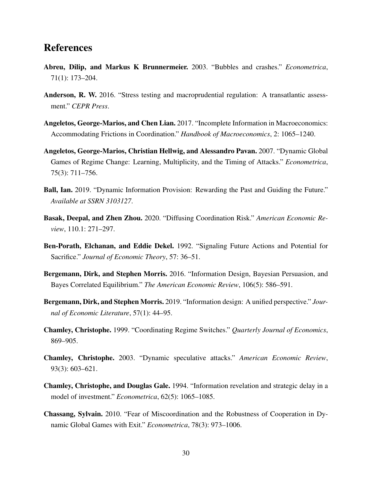## References

- <span id="page-30-9"></span>Abreu, Dilip, and Markus K Brunnermeier. 2003. "Bubbles and crashes." *Econometrica*, 71(1): 173–204.
- <span id="page-30-12"></span>Anderson, R. W. 2016. "Stress testing and macroprudential regulation: A transatlantic assessment." *CEPR Press*.
- <span id="page-30-1"></span>Angeletos, George-Marios, and Chen Lian. 2017. "Incomplete Information in Macroeconomics: Accommodating Frictions in Coordination." *Handbook of Macroeconomics*, 2: 1065–1240.
- <span id="page-30-4"></span>Angeletos, George-Marios, Christian Hellwig, and Alessandro Pavan. 2007. "Dynamic Global Games of Regime Change: Learning, Multiplicity, and the Timing of Attacks." *Econometrica*, 75(3): 711–756.
- <span id="page-30-8"></span>Ball, Ian. 2019. "Dynamic Information Provision: Rewarding the Past and Guiding the Future." *Available at SSRN 3103127*.
- <span id="page-30-0"></span>Basak, Deepal, and Zhen Zhou. 2020. "Diffusing Coordination Risk." *American Economic Review*, 110.1: 271–297.
- <span id="page-30-11"></span>Ben-Porath, Elchanan, and Eddie Dekel. 1992. "Signaling Future Actions and Potential for Sacrifice." *Journal of Economic Theory*, 57: 36–51.
- <span id="page-30-7"></span>Bergemann, Dirk, and Stephen Morris. 2016. "Information Design, Bayesian Persuasion, and Bayes Correlated Equilibrium." *The American Economic Review*, 106(5): 586–591.
- <span id="page-30-6"></span>Bergemann, Dirk, and Stephen Morris. 2019. "Information design: A unified perspective." *Journal of Economic Literature*, 57(1): 44–95.
- <span id="page-30-2"></span>Chamley, Christophe. 1999. "Coordinating Regime Switches." *Quarterly Journal of Economics*, 869–905.
- <span id="page-30-3"></span>Chamley, Christophe. 2003. "Dynamic speculative attacks." *American Economic Review*, 93(3): 603–621.
- <span id="page-30-10"></span>Chamley, Christophe, and Douglas Gale. 1994. "Information revelation and strategic delay in a model of investment." *Econometrica*, 62(5): 1065–1085.
- <span id="page-30-5"></span>Chassang, Sylvain. 2010. "Fear of Miscoordination and the Robustness of Cooperation in Dynamic Global Games with Exit." *Econometrica*, 78(3): 973–1006.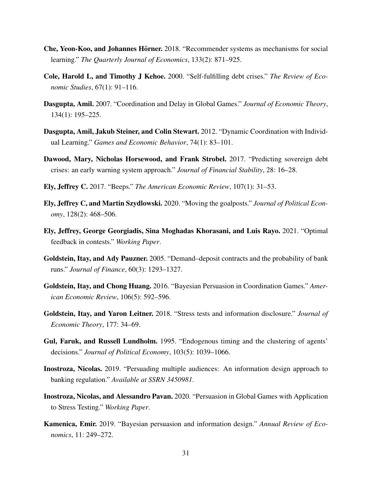- <span id="page-31-9"></span>Che, Yeon-Koo, and Johannes Hörner. 2018. "Recommender systems as mechanisms for social learning." *The Quarterly Journal of Economics*, 133(2): 871–925.
- <span id="page-31-0"></span>Cole, Harold L, and Timothy J Kehoe. 2000. "Self-fulfilling debt crises." *The Review of Economic Studies*, 67(1): 91–116.
- <span id="page-31-6"></span>Dasgupta, Amil. 2007. "Coordination and Delay in Global Games." *Journal of Economic Theory*, 134(1): 195–225.
- <span id="page-31-7"></span>Dasgupta, Amil, Jakub Steiner, and Colin Stewart. 2012. "Dynamic Coordination with Individual Learning." *Games and Economic Behavior*, 74(1): 83–101.
- <span id="page-31-14"></span>Dawood, Mary, Nicholas Horsewood, and Frank Strobel. 2017. "Predicting sovereign debt crises: an early warning system approach." *Journal of Financial Stability*, 28: 16–28.
- <span id="page-31-11"></span>Ely, Jeffrey C. 2017. "Beeps." *The American Economic Review*, 107(1): 31–53.
- <span id="page-31-12"></span>Ely, Jeffrey C, and Martin Szydlowski. 2020. "Moving the goalposts." *Journal of Political Economy*, 128(2): 468–506.
- <span id="page-31-10"></span>Ely, Jeffrey, George Georgiadis, Sina Moghadas Khorasani, and Luis Rayo. 2021. "Optimal feedback in contests." *Working Paper*.
- <span id="page-31-1"></span>Goldstein, Itay, and Ady Pauzner. 2005. "Demand–deposit contracts and the probability of bank runs." *Journal of Finance*, 60(3): 1293–1327.
- <span id="page-31-4"></span>Goldstein, Itay, and Chong Huang. 2016. "Bayesian Persuasion in Coordination Games." *American Economic Review*, 106(5): 592–596.
- <span id="page-31-2"></span>Goldstein, Itay, and Yaron Leitner. 2018. "Stress tests and information disclosure." *Journal of Economic Theory*, 177: 34–69.
- <span id="page-31-13"></span>Gul, Faruk, and Russell Lundholm. 1995. "Endogenous timing and the clustering of agents' decisions." *Journal of Political Economy*, 103(5): 1039–1066.
- <span id="page-31-3"></span>Inostroza, Nicolas. 2019. "Persuading multiple audiences: An information design approach to banking regulation." *Available at SSRN 3450981*.
- <span id="page-31-5"></span>Inostroza, Nicolas, and Alessandro Pavan. 2020. "Persuasion in Global Games with Application to Stress Testing." *Working Paper*.
- <span id="page-31-8"></span>Kamenica, Emir. 2019. "Bayesian persuasion and information design." *Annual Review of Economics*, 11: 249–272.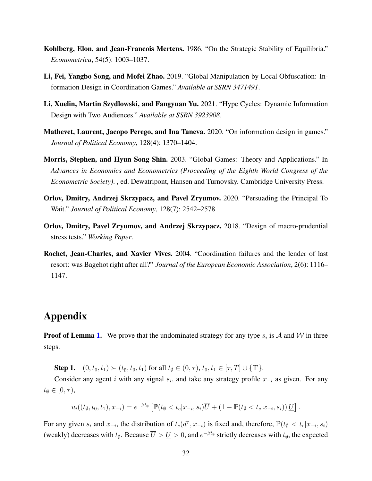- <span id="page-32-7"></span>Kohlberg, Elon, and Jean-Francois Mertens. 1986. "On the Strategic Stability of Equilibria." *Econometrica*, 54(5): 1003–1037.
- <span id="page-32-2"></span>Li, Fei, Yangbo Song, and Mofei Zhao. 2019. "Global Manipulation by Local Obfuscation: Information Design in Coordination Games." *Available at SSRN 3471491*.
- <span id="page-32-3"></span>Li, Xuelin, Martin Szydlowski, and Fangyuan Yu. 2021. "Hype Cycles: Dynamic Information Design with Two Audiences." *Available at SSRN 3923908*.
- <span id="page-32-4"></span>Mathevet, Laurent, Jacopo Perego, and Ina Taneva. 2020. "On information design in games." *Journal of Political Economy*, 128(4): 1370–1404.
- <span id="page-32-6"></span>Morris, Stephen, and Hyun Song Shin. 2003. "Global Games: Theory and Applications." In *Advances in Economics and Econometrics (Proceeding of the Eighth World Congress of the Econometric Society)*. , ed. Dewatripont, Hansen and Turnovsky. Cambridge University Press.
- <span id="page-32-5"></span>Orlov, Dmitry, Andrzej Skrzypacz, and Pavel Zryumov. 2020. "Persuading the Principal To Wait." *Journal of Political Economy*, 128(7): 2542–2578.
- <span id="page-32-1"></span>Orlov, Dmitry, Pavel Zryumov, and Andrzej Skrzypacz. 2018. "Design of macro-prudential stress tests." *Working Paper*.
- <span id="page-32-0"></span>Rochet, Jean-Charles, and Xavier Vives. 2004. "Coordination failures and the lender of last resort: was Bagehot right after all?" *Journal of the European Economic Association*, 2(6): 1116– 1147.

## Appendix

**Proof of Lemma [1.](#page-15-0)** We prove that the undominated strategy for any type  $s_i$  is A and W in three steps.

Step 1.  $(0, t_0, t_1) \succ (t_{\emptyset}, t_0, t_1)$  for all  $t_{\emptyset} \in (0, \tau), t_0, t_1 \in [\tau, T] \cup {\{\mathbb{T}\}}$ .

Consider any agent i with any signal  $s_i$ , and take any strategy profile  $x_{-i}$  as given. For any  $t_{\emptyset} \in [0, \tau),$ 

$$
u_i((t_{\emptyset},t_0,t_1),x_{-i})=e^{-\beta t_{\emptyset}}\left[\mathbb{P}(t_{\emptyset}
$$

For any given  $s_i$  and  $x_{-i}$ , the distribution of  $t_c(d^{\tau}, x_{-i})$  is fixed and, therefore,  $\mathbb{P}(t_{\emptyset} < t_c | x_{-i}, s_i)$ (weakly) decreases with  $t_{\emptyset}$ . Because  $\overline{U} > \underline{U} > 0$ , and  $e^{-\beta t_{\emptyset}}$  strictly decreases with  $t_{\emptyset}$ , the expected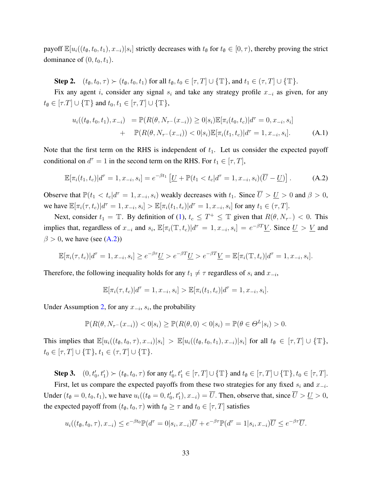payoff  $\mathbb{E}[u_i((t_\emptyset, t_0, t_1), x_{-i})|s_i]$  strictly decreases with  $t_\emptyset$  for  $t_\emptyset \in [0, \tau)$ , thereby proving the strict dominance of  $(0, t_0, t_1)$ .

Step 2.  $(t_{\emptyset}, t_0, \tau) \succ (t_{\emptyset}, t_0, t_1)$  for all  $t_{\emptyset}, t_0 \in [\tau, T] \cup {\{\mathbb{T}\}}$ , and  $t_1 \in (\tau, T] \cup {\{\mathbb{T}\}}$ .

Fix any agent i, consider any signal  $s_i$  and take any strategy profile  $x_{-i}$  as given, for any  $t_{\emptyset} \in [\tau,T] \cup {\{\mathbb{T}\}}$  and  $t_0, t_1 \in [\tau,T] \cup {\{\mathbb{T}\}}$ ,

$$
u_i((t_{\emptyset}, t_0, t_1), x_{-i}) = \mathbb{P}(R(\theta, N_{\tau^-}(x_{-i})) \ge 0 | s_i) \mathbb{E}[\pi_i(t_0, t_c) | d^{\tau} = 0, x_{-i}, s_i]
$$
  
+ 
$$
\mathbb{P}(R(\theta, N_{\tau^-}(x_{-i})) < 0 | s_i) \mathbb{E}[\pi_i(t_1, t_c) | d^{\tau} = 1, x_{-i}, s_i].
$$
 (A.1)

Note that the first term on the RHS is independent of  $t_1$ . Let us consider the expected payoff conditional on  $d^{\tau} = 1$  in the second term on the RHS. For  $t_1 \in [\tau, T]$ ,

<span id="page-33-0"></span>
$$
\mathbb{E}[\pi_i(t_1, t_c)|d^{\tau} = 1, x_{-i}, s_i] = e^{-\beta t_1} \left[ \underline{U} + \mathbb{P}(t_1 < t_c|d^{\tau} = 1, x_{-i}, s_i) (\overline{U} - \underline{U}) \right]. \tag{A.2}
$$

Observe that  $\mathbb{P}(t_1 < t_c | d^{\tau} = 1, x_{-i}, s_i)$  weakly decreases with  $t_1$ . Since  $\overline{U} > \underline{U} > 0$  and  $\beta > 0$ , we have  $\mathbb{E}[\pi_i(\tau, t_c)|d^{\tau} = 1, x_{-i}, s_i] > \mathbb{E}[\pi_i(t_1, t_c)|d^{\tau} = 1, x_{-i}, s_i]$  for any  $t_1 \in (\tau, T]$ .

Next, consider  $t_1 = \mathbb{T}$ . By definition of [\(1\)](#page-7-1),  $t_c \leq T^+ \leq \mathbb{T}$  given that  $R(\theta, N_{\tau^-}) < 0$ . This implies that, regardless of  $x_{-i}$  and  $s_i$ ,  $\mathbb{E}[\pi_i(\mathbb{T}, t_c)|d^{\tau} = 1, x_{-i}, s_i] = e^{-\beta T} \underline{V}$ . Since  $\underline{U} > \underline{V}$  and  $\beta$  > 0, we have (see [\(A.2\)](#page-33-0))

$$
\mathbb{E}[\pi_i(\tau, t_c)|d^{\tau} = 1, x_{-i}, s_i] \ge e^{-\beta \tau} \underline{U} > e^{-\beta T} \underline{U} > e^{-\beta T} \underline{V} = \mathbb{E}[\pi_i(\mathbb{T}, t_c)|d^{\tau} = 1, x_{-i}, s_i].
$$

Therefore, the following inequality holds for any  $t_1 \neq \tau$  regardless of  $s_i$  and  $x_{-i}$ ,

$$
\mathbb{E}[\pi_i(\tau, t_c)|d^{\tau} = 1, x_{-i}, s_i] > \mathbb{E}[\pi_i(t_1, t_c)|d^{\tau} = 1, x_{-i}, s_i].
$$

Under Assumption [2,](#page-9-1) for any  $x_{-i}$ ,  $s_i$ , the probability

$$
\mathbb{P}(R(\theta, N_{\tau^{-}}(x_{-i})) < 0|s_i) \ge \mathbb{P}(R(\theta, 0) < 0|s_i) = \mathbb{P}(\theta \in \Theta^L|s_i) > 0.
$$

This implies that  $\mathbb{E}[u_i((t_\emptyset, t_0, \tau), x_{-i})|s_i] > \mathbb{E}[u_i((t_\emptyset, t_0, t_1), x_{-i})|s_i]$  for all  $t_\emptyset \in [\tau, T] \cup \{\mathbb{T}\},$  $t_0 \in [\tau, T] \cup {\{\mathbb{T}\}}, t_1 \in (\tau, T] \cup {\{\mathbb{T}\}}.$ 

Step 3.  $(0, t'_0, t'_1) \succ (t_0, t_0, \tau)$  for any  $t'_0, t'_1 \in [\tau, T] \cup {\{\mathbb{T}\}}$  and  $t_0 \in [\tau, T] \cup {\{\mathbb{T}\}}$ ,  $t_0 \in [\tau, T]$ .

First, let us compare the expected payoffs from these two strategies for any fixed  $s_i$  and  $x_{-i}$ . Under  $(t_{\emptyset} = 0, t_0, t_1)$ , we have  $u_i((t_{\emptyset} = 0, t'_0, t'_1), x_{-i}) = \overline{U}$ . Then, observe that, since  $\overline{U} > \underline{U} > 0$ , the expected payoff from  $(t_{\emptyset}, t_0, \tau)$  with  $t_{\emptyset} \geq \tau$  and  $t_0 \in [\tau, T]$  satisfies

$$
u_i((t_{\emptyset}, t_0, \tau), x_{-i}) \le e^{-\beta t_0} \mathbb{P}(d^{\tau} = 0 | s_i, x_{-i}) \overline{U} + e^{-\beta \tau} \mathbb{P}(d^{\tau} = 1 | s_i, x_{-i}) \overline{U} \le e^{-\beta \tau} \overline{U}.
$$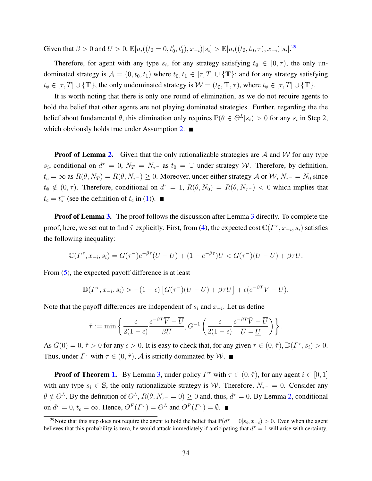Given that  $\beta > 0$  and  $\overline{U} > 0$ ,  $\mathbb{E}[u_i((t_{\emptyset} = 0, t'_0, t'_1), x_{-i}) | s_i] > \mathbb{E}[u_i((t_{\emptyset}, t_0, \tau), x_{-i}) | s_i].^{29}$  $\mathbb{E}[u_i((t_{\emptyset} = 0, t'_0, t'_1), x_{-i}) | s_i] > \mathbb{E}[u_i((t_{\emptyset}, t_0, \tau), x_{-i}) | s_i].^{29}$  $\mathbb{E}[u_i((t_{\emptyset} = 0, t'_0, t'_1), x_{-i}) | s_i] > \mathbb{E}[u_i((t_{\emptyset}, t_0, \tau), x_{-i}) | s_i].^{29}$ 

Therefore, for agent with any type  $s_i$ , for any strategy satisfying  $t_{\emptyset} \in [0, \tau)$ , the only undominated strategy is  $\mathcal{A} = (0, t_0, t_1)$  where  $t_0, t_1 \in [\tau, T] \cup \{\mathbb{T}\}\$ ; and for any strategy satisfying  $t_{\emptyset} \in [\tau, T] \cup \{\mathbb{T}\}\$ , the only undominated strategy is  $\mathcal{W} = (t_{\emptyset}, \mathbb{T}, \tau)$ , where  $t_{\emptyset} \in [\tau, T] \cup \{\mathbb{T}\}\$ .

It is worth noting that there is only one round of elimination, as we do not require agents to hold the belief that other agents are not playing dominated strategies. Further, regarding the the belief about fundamental  $\theta$ , this elimination only requires  $\mathbb{P}(\theta \in \Theta^L | s_i) > 0$  for any  $s_i$  in Step 2, which obviously holds true under Assumption [2.](#page-9-1)  $\blacksquare$ 

**Proof of Lemma [2.](#page-16-0)** Given that the only rationalizable strategies are A and W for any type  $s_i$ , conditional on  $d^{\tau} = 0$ ,  $N_T = N_{\tau}$  as  $t_0 = \mathbb{T}$  under strategy W. Therefore, by definition,  $t_c = \infty$  as  $R(\theta, N_T) = R(\theta, N_{\tau}^-) \geq 0$ . Moreover, under either strategy A or W,  $N_{\tau}^- = N_0$  since  $t_{\emptyset} \notin (0, \tau)$ . Therefore, conditional on  $d^{\tau} = 1$ ,  $R(\theta, N_0) = R(\theta, N_{\tau-}) < 0$  which implies that  $t_c = t_s^+$  (see the definition of  $t_c$  in [\(1\)](#page-7-1)).

**Proof of Lemma [3.](#page-18-0)** The proof follows the discussion after Lemma [3](#page-18-0) directly. To complete the proof, here, we set out to find  $\hat{\tau}$  explicitly. First, from [\(4\)](#page-19-2), the expected cost  $\mathbb{C}(\Gamma^\tau, x_{-i}, s_i)$  satisfies the following inequality:

$$
\mathbb{C}(\Gamma^{\tau}, x_{-i}, s_i) = G(\tau^-)e^{-\beta\tau}(\overline{U} - \underline{U}) + (1 - e^{-\beta\tau})\overline{U} < G(\tau^-)(\overline{U} - \underline{U}) + \beta\tau\overline{U}.
$$

From [\(5\)](#page-19-3), the expected payoff difference is at least

$$
\mathbb{D}(\Gamma^{\tau}, x_{-i}, s_i) > -(1 - \epsilon) \left[ G(\tau^{-})(\overline{U} - \underline{U}) + \beta \tau \overline{U} \right] + \epsilon (e^{-\beta T} \overline{V} - \overline{U}).
$$

Note that the payoff differences are independent of  $s_i$  and  $x_{-i}$ . Let us define

$$
\hat{\tau} := \min \left\{ \frac{\epsilon}{2(1-\epsilon)} \frac{e^{-\beta T} \overline{V} - \overline{U}}{\beta \overline{U}}, G^{-1} \left( \frac{\epsilon}{2(1-\epsilon)} \frac{e^{-\beta T} \overline{V} - \overline{U}}{\overline{U} - \underline{U}} \right) \right\}.
$$

As  $G(0) = 0, \hat{\tau} > 0$  for any  $\epsilon > 0$ . It is easy to check that, for any given  $\tau \in (0, \hat{\tau})$ ,  $\mathbb{D}(\Gamma^{\tau}, s_i) > 0$ . Thus, under  $\Gamma^{\tau}$  with  $\tau \in (0, \hat{\tau})$ , A is strictly dominated by W.

**Proof of Theorem [1.](#page-14-0)** By Lemma [3,](#page-18-0) under policy  $\Gamma^{\tau}$  with  $\tau \in (0, \hat{\tau})$ , for any agent  $i \in [0, 1]$ with any type  $s_i \in \mathbb{S}$ , the only rationalizable strategy is W. Therefore,  $N_{\tau-} = 0$ . Consider any  $\theta \notin \Theta^L$ . By the definition of  $\Theta^L$ ,  $R(\theta, N_{\tau^-} = 0) \ge 0$  and, thus,  $d^{\tau} = 0$ . By Lemma [2,](#page-16-0) conditional on  $d^{\tau} = 0$ ,  $t_c = \infty$ . Hence,  $\Theta^F(\Gamma^{\tau}) = \Theta^L$  and  $\Theta^P(\Gamma^{\tau}) = \emptyset$ .

<span id="page-34-0"></span><sup>&</sup>lt;sup>29</sup>Note that this step does not require the agent to hold the belief that  $\mathbb{P}(d^{\tau}=0|s_i,x_{-i})>0$ . Even when the agent believes that this probability is zero, he would attack immediately if anticipating that  $d^{\tau} = 1$  will arise with certainty.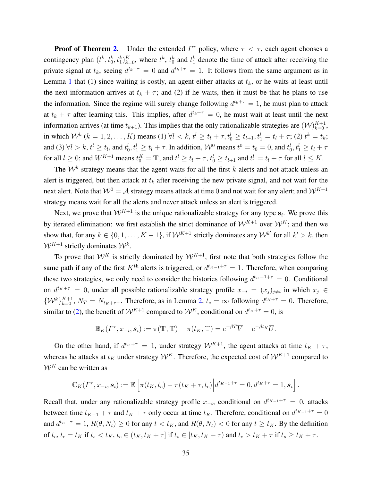**Proof of Theorem [2.](#page-23-2)** Under the extended  $\Gamma^{\tau}$  policy, where  $\tau < \overline{\tau}$ , each agent chooses a contingency plan  $(t^k, t_0^k, t_1^k)_{k=0}^K$ , where  $t^k$ ,  $t_0^k$  and  $t_1^k$  denote the time of attack after receiving the private signal at  $t_k$ , seeing  $d^{t_k+\tau} = 0$  and  $d^{t_k+\tau} = 1$ . It follows from the same argument as in Lemma [1](#page-15-0) that (1) since waiting is costly, an agent either attacks at  $t_k$ , or he waits at least until the next information arrives at  $t_k + \tau$ ; and (2) if he waits, then it must be that he plans to use the information. Since the regime will surely change following  $d^{t_k+\tau} = 1$ , he must plan to attack at  $t_k + \tau$  after learning this. This implies, after  $d^{t_k+\tau} = 0$ , he must wait at least until the next information arrives (at time  $t_{k+1}$ ). This implies that the only rationalizable strategies are  $(W)_{k=0}^{K+1}$ , in which  $W^k$   $(k = 1, 2, ..., K)$  means  $(1) \forall l < k, t^l \ge t_l + \tau, t_0^l \ge t_{l+1}, t_1^l = t_l + \tau$ ;  $(2) t^k = t_k$ ; and (3)  $\forall l > k$ ,  $t^l \ge t_l$ , and  $t_0^l, t_1^l \ge t_l + \tau$ . In addition,  $\mathcal{W}^0$  means  $t^0 = t_0 = 0$ , and  $t_0^l, t_1^l \ge t_l + \tau$ for all  $l \geq 0$ ; and  $W^{K+1}$  means  $t_0^K = \mathbb{T}$ , and  $t^l \geq t_l + \tau$ ,  $t_0^l \geq t_{l+1}$  and  $t_1^l = t_l + \tau$  for all  $l \leq K$ .

The  $\mathcal{W}^k$  strategy means that the agent waits for all the first k alerts and not attack unless an alert is triggered, but then attack at  $t_k$  after receiving the new private signal, and not wait for the next alert. Note that  $W^0 = A$  strategy means attack at time 0 and not wait for any alert; and  $W^{K+1}$ strategy means wait for all the alerts and never attack unless an alert is triggered.

Next, we prove that  $W^{K+1}$  is the unique rationalizable strategy for any type  $s_i$ . We prove this by iterated elimination: we first establish the strict dominance of  $W^{K+1}$  over  $W^K$ ; and then we show that, for any  $k \in \{0, 1, \ldots, K-1\}$ , if  $\mathcal{W}^{K+1}$  strictly dominates any  $\mathcal{W}^{k'}$  for all  $k' > k$ , then  $W^{K+1}$  strictly dominates  $W^k$ .

To prove that  $W^K$  is strictly dominated by  $W^{K+1}$ , first note that both strategies follow the same path if any of the first  $K<sup>th</sup>$  alerts is triggered, or  $d<sup>t<sub>K-1</sub>+τ</sup> = 1$ . Therefore, when comparing these two strategies, we only need to consider the histories following  $d^{t_K-1+\tau} = 0$ . Conditional on  $d^{t_K+\tau} = 0$ , under all possible rationalizable strategy profile  $x_{-i} = (x_j)_{j \neq i}$  in which  $x_j \in$  $\{W^k\}_{k=0}^{K+1}$ ,  $N_T = N_{t_K+\tau^-}$ . Therefore, as in Lemma [2,](#page-16-0)  $t_c = \infty$  following  $d^{t_K+\tau} = 0$ . Therefore, similar to [\(2\)](#page-18-1), the benefit of  $W^{K+1}$  compared to  $W^K$ , conditional on  $d^{t_K+\tau}=0$ , is

$$
\mathbb{B}_K(\Gamma^\tau, x_{-i}, \mathbf{s}_i) := \pi(\mathbb{T}, \mathbb{T}) - \pi(t_K, \mathbb{T}) = e^{-\beta T} \overline{V} - e^{-\beta t_K} \overline{U}.
$$

On the other hand, if  $d^{t_K+\tau} = 1$ , under strategy  $\mathcal{W}^{K+1}$ , the agent attacks at time  $t_K + \tau$ , whereas he attacks at  $t_K$  under strategy  $\mathcal{W}^K$ . Therefore, the expected cost of  $\mathcal{W}^{K+1}$  compared to  $W^{K}$  can be written as

$$
\mathbb{C}_K(\Gamma^\tau, x_{-i}, \mathbf{s}_i) := \mathbb{E}\left[\pi(t_K, t_c) - \pi(t_K + \tau, t_c)\middle| d^{t_{K-1}+\tau} = 0, d^{t_K+\tau} = 1, \mathbf{s}_i\right].
$$

Recall that, under any rationalizable strategy profile  $x_{-i}$ , conditional on  $d^{t_{K-1}+\tau} = 0$ , attacks between time  $t_{K-1} + \tau$  and  $t_K + \tau$  only occur at time  $t_K$ . Therefore, conditional on  $d^{t_{K-1}+\tau} = 0$ and  $d^{t_K+\tau} = 1$ ,  $R(\theta, N_t) \ge 0$  for any  $t < t_K$ , and  $R(\theta, N_t) < 0$  for any  $t \ge t_K$ . By the definition of  $t_c$ ,  $t_c = t_K$  if  $t_s < t_K$ ,  $t_c \in (t_K, t_K + \tau]$  if  $t_s \in [t_K, t_K + \tau)$  and  $t_c > t_K + \tau$  if  $t_s \ge t_K + \tau$ .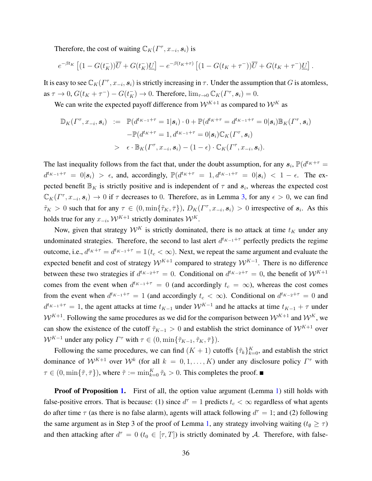Therefore, the cost of waiting  $\mathbb{C}_K(\Gamma^\tau, x_{-i}, s_i)$  is

$$
e^{-\beta t_K} \left[ (1-G(t_K^-)) \overline{U} + G(t_K^-) \underline{U} \right] - e^{-\beta (t_K + \tau)} \left[ (1-G(t_K + \tau^-)) \overline{U} + G(t_K + \tau^-) \underline{U} \right].
$$

It is easy to see  $\mathbb{C}_K(\Gamma^\tau, x_{-i}, s_i)$  is strictly increasing in  $\tau$ . Under the assumption that G is atomless, as  $\tau \to 0$ ,  $G(t_K + \tau^-) - G(t_K^-) \to 0$ . Therefore,  $\lim_{\tau \to 0} \mathbb{C}_K(\Gamma^{\tau}, s_i) = 0$ .

We can write the expected payoff difference from  $W^{K+1}$  as compared to  $W^K$  as

$$
\mathbb{D}_K(\Gamma^{\tau}, x_{-i}, \mathbf{s}_i) := \mathbb{P}(d^{t_{K-1}+\tau} = 1 | \mathbf{s}_i) \cdot 0 + \mathbb{P}(d^{t_K+\tau} = d^{t_{K-1}+\tau} = 0 | \mathbf{s}_i) \mathbb{B}_K(\Gamma^{\tau}, \mathbf{s}_i)
$$
  
\n
$$
-\mathbb{P}(d^{t_K+\tau} = 1, d^{t_{K-1}+\tau} = 0 | \mathbf{s}_i) \mathbb{C}_K(\Gamma^{\tau}, \mathbf{s}_i)
$$
  
\n
$$
> \epsilon \cdot \mathbb{B}_K(\Gamma^{\tau}, x_{-i}, \mathbf{s}_i) - (1 - \epsilon) \cdot \mathbb{C}_K(\Gamma^{\tau}, x_{-i}, \mathbf{s}_i).
$$

The last inequality follows from the fact that, under the doubt assumption, for any  $s_i$ ,  $\mathbb{P}(d^{t_K+\tau})$  $d^{t_{K-1}+\tau} = 0|\mathbf{s}_i| > \epsilon$ , and, accordingly,  $\mathbb{P}(d^{t_K+\tau}) = 1, d^{t_{K-1}+\tau} = 0|\mathbf{s}_i| < 1 - \epsilon$ . The expected benefit  $\mathbb{B}_K$  is strictly positive and is independent of  $\tau$  and  $s_i$ , whereas the expected cost  $\mathbb{C}_K(\Gamma^\tau, x_{-i}, s_i) \to 0$  if  $\tau$  decreases to 0. Therefore, as in Lemma [3,](#page-18-0) for any  $\epsilon > 0$ , we can find  $\tilde{\tau}_K > 0$  such that for any  $\tau \in (0, \min\{\tilde{\tau}_K, \bar{\tau}\}), D_K(\Gamma^{\tau}, x_{-i}, s_i) > 0$  irrespective of  $s_i$ . As this holds true for any  $x_{-i}$ ,  $\mathcal{W}^{K+1}$  strictly dominates  $\mathcal{W}^K$ .

Now, given that strategy  $\mathcal{W}^K$  is strictly dominated, there is no attack at time  $t_K$  under any undominated strategies. Therefore, the second to last alert  $d^{t_{K-1}+\tau}$  perfectly predicts the regime outcome, i.e.,  $d^{t_K+\tau} = d^{t_{K-1}+\tau} = \mathbbm{1}(t_c < \infty)$ . Next, we repeat the same argument and evaluate the expected benefit and cost of strategy  $W^{K+1}$  compared to strategy  $W^{K-1}$ . There is no difference between these two strategies if  $d^{t_{K-2}+\tau} = 0$ . Conditional on  $d^{t_{K-2}+\tau} = 0$ , the benefit of  $\mathcal{W}^{K+1}$ comes from the event when  $d^{t_{K-1}+\tau} = 0$  (and accordingly  $t_c = \infty$ ), whereas the cost comes from the event when  $d^{t_{K-1}+\tau} = 1$  (and accordingly  $t_c < \infty$ ). Conditional on  $d^{t_{K-2}+\tau} = 0$  and  $d^{t_{K-1}+\tau} = 1$ , the agent attacks at time  $t_{K-1}$  under  $\mathcal{W}^{K-1}$  and he attacks at time  $t_{K-1} + \tau$  under  $W^{K+1}$ . Following the same procedures as we did for the comparison between  $W^{K+1}$  and  $W^{K}$ , we can show the existence of the cutoff  $\tilde{\tau}_{K-1} > 0$  and establish the strict dominance of  $\mathcal{W}^{K+1}$  over  $W^{K-1}$  under any policy  $\Gamma^{\tau}$  with  $\tau \in (0, \min\{\tilde{\tau}_{K-1}, \tilde{\tau}_K, \bar{\tau}\}).$ 

Following the same procedures, we can find  $(K + 1)$  cutoffs  $\{\tilde{\tau}_k\}_{k=0}^K$ , and establish the strict dominance of  $W^{K+1}$  over  $W^k$  (for all  $k = 0, 1, ..., K$ ) under any disclosure policy  $\Gamma^{\tau}$  with  $\tau \in (0, \min\{\tilde{\tau}, \bar{\tau}\})$ , where  $\tilde{\tau} := \min_{k=0}^K \tilde{\tau}_k > 0$ . This completes the proof.

Proof of Proposition [1.](#page-25-1) First of all, the option value argument (Lemma [1\)](#page-15-0) still holds with false-positive errors. That is because: (1) since  $d^{\tau} = 1$  predicts  $t_c < \infty$  regardless of what agents do after time  $\tau$  (as there is no false alarm), agents will attack following  $d^{\tau} = 1$ ; and (2) following the same argument as in Step 3 of the proof of Lemma [1,](#page-15-0) any strategy involving waiting ( $t_{\emptyset} \geq \tau$ ) and then attacking after  $d^{\tau} = 0$  ( $t_0 \in [\tau, T]$ ) is strictly dominated by A. Therefore, with false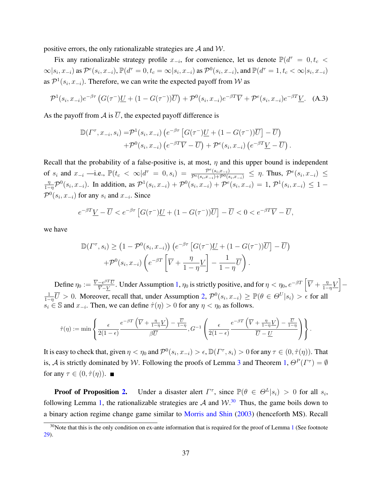positive errors, the only rationalizable strategies are  $A$  and  $W$ .

Fix any rationalizable strategy profile  $x_{-i}$ , for convenience, let us denote  $\mathbb{P}(d^{\tau} = 0, t_c <$  $\infty|s_i,x_{-i})$  as  $\mathcal{P}^e(s_i,x_{-i})$ ,  $\mathbb{P}(d^{\tau}=0,t_c=\infty|s_i,x_{-i})$  as  $\mathcal{P}^0(s_i,x_{-i})$ , and  $\mathbb{P}(d^{\tau}=1,t_c<\infty|s_i,x_{-i})$ as  $\mathcal{P}^1(s_i, x_{-i})$ . Therefore, we can write the expected payoff from W as

$$
\mathcal{P}^1(s_i, x_{-i})e^{-\beta \tau} \left( G(\tau^-)\underline{U} + (1 - G(\tau^-))\overline{U} \right) + \mathcal{P}^0(s_i, x_{-i})e^{-\beta T}\overline{V} + \mathcal{P}^e(s_i, x_{-i})e^{-\beta T}\underline{V}.
$$
 (A.3)

As the payoff from A is  $\overline{U}$ , the expected payoff difference is

$$
\mathbb{D}(\Gamma^{\tau}, x_{-i}, s_i) = \mathcal{P}^1(s_i, x_{-i}) \left( e^{-\beta \tau} \left[ G(\tau^-) \underline{U} + (1 - G(\tau^-)) \overline{U} \right] - \overline{U} \right) + \mathcal{P}^0(s_i, x_{-i}) \left( e^{-\beta T} \overline{V} - \overline{U} \right) + \mathcal{P}^e(s_i, x_{-i}) \left( e^{-\beta T} \underline{V} - \overline{U} \right).
$$

Recall that the probability of a false-positive is, at most,  $\eta$  and this upper bound is independent of  $s_i$  and  $x_{-i}$  —i.e.,  $\mathbb{P}(t_c < \infty | d^{\tau} = 0, s_i) = \frac{\mathcal{P}^{e}(s_i, x_{-i})}{\mathcal{P}^{e}(s_i, x_{-i}) + \mathcal{P}^{0}(s_i, x_{-i})} \leq \eta$ . Thus,  $\mathcal{P}^{e}(s_i, x_{-i}) \leq$ η  $\frac{\eta}{1-\eta} \mathcal{P}^0(s_i, x_{-i})$ . In addition, as  $\mathcal{P}^1(s_i, x_{-i}) + \mathcal{P}^0(s_i, x_{-i}) + \mathcal{P}^e(s_i, x_{-i}) = 1$ ,  $\mathcal{P}^1(s_i, x_{-i}) \leq 1 - 1$  $\mathcal{P}^{0}(s_i, x_{-i})$  for any  $s_i$  and  $x_{-i}$ . Since

$$
e^{-\beta T} \underline{V} - \overline{U} < e^{-\beta \tau} \left[ G(\tau^-) \underline{U} + (1 - G(\tau^-)) \overline{U} \right] - \overline{U} < 0 < e^{-\beta T} \overline{V} - \overline{U},
$$

we have

$$
\mathbb{D}(\Gamma^{\tau}, s_i) \geq \left(1 - \mathcal{P}^{0}(s_i, x_{-i})\right) \left(e^{-\beta \tau} \left[G(\tau^{-}) \underline{U} + (1 - G(\tau^{-})) \overline{U}\right] - \overline{U}\right) + \mathcal{P}^{0}(s_i, x_{-i}) \left(e^{-\beta T} \left[\overline{V} + \frac{\eta}{1 - \eta} \underline{V}\right] - \frac{1}{1 - \eta} \overline{U}\right).
$$

Define  $\eta_0 := \frac{\overline{V} - e^{\beta T} \overline{U}}{\overline{V} - V}$  $\frac{-e^{\beta T}\overline{U}}{\overline{V}-\underline{V}}.$  Under Assumption [1,](#page-8-1)  $\eta_0$  is strictly positive, and for  $\eta<\eta_0, e^{-\beta T}\left[\overline{V}+\frac{\eta_0}{1-\eta_0}\right]$  $\frac{\eta}{1-\eta}V$  – 1  $\frac{1}{1-\eta}\overline{U} > 0$ . Moreover, recall that, under Assumption [2,](#page-9-1)  $\mathcal{P}^0(s_i, x_{-i}) \geq \mathbb{P}(\theta \in \Theta^U|s_i) > \epsilon$  for all  $s_i \in \mathbb{S}$  and  $x_{-i}$ . Then, we can define  $\hat{\tau}(\eta) > 0$  for any  $\eta < \eta_0$  as follows.

$$
\hat{\tau}(\eta) := \min \left\{ \frac{\epsilon}{2(1-\epsilon)} \frac{e^{-\beta T} \left( \overline{V} + \frac{\eta}{1-\eta} \underline{V} \right) - \frac{\overline{U}}{1-\eta}}{\beta \overline{U}}, G^{-1} \left( \frac{\epsilon}{2(1-\epsilon)} \frac{e^{-\beta T} \left( \overline{V} + \frac{\eta}{1-\eta} \underline{V} \right) - \frac{\overline{U}}{1-\eta}}{\overline{U} - \underline{U}} \right) \right\}.
$$

It is easy to check that, given  $\eta < \eta_0$  and  $\mathcal{P}^0(s_i, x_{-i}) > \epsilon$ ,  $\mathbb{D}(\Gamma^\tau, s_i) > 0$  for any  $\tau \in (0, \hat{\tau}(\eta))$ . That is, A is strictly dominated by W. Following the proofs of Lemma [3](#page-18-0) and Theorem [1,](#page-14-0)  $\Theta^P(\Gamma^{\tau}) = \emptyset$ for any  $\tau \in (0, \hat{\tau}(\eta))$ .

**Proof of Proposition [2.](#page-26-3)** Under a disaster alert  $\Gamma^{\tau}$ , since  $\mathbb{P}(\theta \in \Theta^L | s_i) > 0$  for all  $s_i$ , following Lemma [1,](#page-15-0) the rationalizable strategies are A and  $W^{30}$  $W^{30}$  $W^{30}$ . Thus, the game boils down to a binary action regime change game similar to [Morris and Shin](#page-32-6) [\(2003\)](#page-32-6) (henceforth MS). Recall

<span id="page-37-0"></span> $30$ Note that this is the only condition on ex-ante information that is required for the proof of Lemma [1](#page-15-0) (See footnote [29\)](#page-34-0).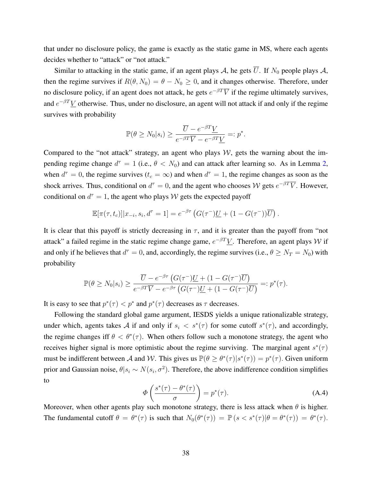that under no disclosure policy, the game is exactly as the static game in MS, where each agents decides whether to "attack" or "not attack."

Similar to attacking in the static game, if an agent plays A, he gets  $\overline{U}$ . If  $N_0$  people plays A, then the regime survives if  $R(\theta, N_0) = \theta - N_0 \ge 0$ , and it changes otherwise. Therefore, under no disclosure policy, if an agent does not attack, he gets  $e^{-\beta T}\overline{V}$  if the regime ultimately survives, and  $e^{-\beta T}$ *V* otherwise. Thus, under no disclosure, an agent will not attack if and only if the regime survives with probability

$$
\mathbb{P}(\theta \ge N_0 | s_i) \ge \frac{\overline{U} - e^{-\beta T} \underline{V}}{e^{-\beta T} \overline{V} - e^{-\beta T} \underline{V}} =: p^*.
$$

Compared to the "not attack" strategy, an agent who plays  $W$ , gets the warning about the impending regime change  $d^{\tau} = 1$  (i.e.,  $\theta < N_0$ ) and can attack after learning so. As in Lemma [2,](#page-16-0) when  $d^{\tau} = 0$ , the regime survives  $(t_c = \infty)$  and when  $d^{\tau} = 1$ , the regime changes as soon as the shock arrives. Thus, conditional on  $d^{\tau} = 0$ , and the agent who chooses W gets  $e^{-\beta T}\overline{V}$ . However, conditional on  $d^{\tau} = 1$ , the agent who plays W gets the expected payoff

$$
\mathbb{E}[\pi(\tau,t_c)]|x_{-i},s_i,d^{\tau}=1] = e^{-\beta\tau} \left( G(\tau^{-})\underline{U} + (1-G(\tau^{-}))\overline{U} \right).
$$

It is clear that this payoff is strictly decreasing in  $\tau$ , and it is greater than the payoff from "not" attack" a failed regime in the static regime change game,  $e^{-\beta T}$ *V*. Therefore, an agent plays *W* if and only if he believes that  $d^{\tau} = 0$ , and, accordingly, the regime survives (i.e.,  $\theta \ge N_T = N_0$ ) with probability

$$
\mathbb{P}(\theta \ge N_0 | s_i) \ge \frac{\overline{U} - e^{-\beta \tau} \left( G(\tau^-) \underline{U} + (1 - G(\tau^-) \overline{U} \right)}{e^{-\beta T} \overline{V} - e^{-\beta \tau} \left( G(\tau^-) \underline{U} + (1 - G(\tau^-) \overline{U} \right)} =: p^*(\tau).
$$

It is easy to see that  $p^*(\tau) < p^*$  and  $p^*(\tau)$  decreases as  $\tau$  decreases.

Following the standard global game argument, IESDS yields a unique rationalizable strategy, under which, agents takes A if and only if  $s_i < s^*(\tau)$  for some cutoff  $s^*(\tau)$ , and accordingly, the regime changes iff  $\theta < \theta^*(\tau)$ . When others follow such a monotone strategy, the agent who receives higher signal is more optimistic about the regime surviving. The marginal agent  $s^*(\tau)$ must be indifferent between A and W. This gives us  $\mathbb{P}(\theta \geq \theta^*(\tau)|s^*(\tau)) = p^*(\tau)$ . Given uniform prior and Gaussian noise,  $\theta | s_i \sim N(s_i, \sigma^2)$ . Therefore, the above indifference condition simplifies to

<span id="page-38-0"></span>
$$
\Phi\left(\frac{s^*(\tau) - \theta^*(\tau)}{\sigma}\right) = p^*(\tau). \tag{A.4}
$$

Moreover, when other agents play such monotone strategy, there is less attack when  $\theta$  is higher. The fundamental cutoff  $\theta = \theta^*(\tau)$  is such that  $N_0(\theta^*(\tau)) = \mathbb{P}(s < s^*(\tau)|\theta = \theta^*(\tau)) = \theta^*(\tau)$ .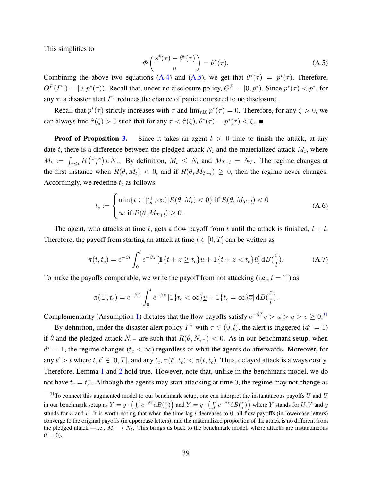This simplifies to

<span id="page-39-0"></span>
$$
\Phi\left(\frac{s^*(\tau) - \theta^*(\tau)}{\sigma}\right) = \theta^*(\tau). \tag{A.5}
$$

Combining the above two equations [\(A.4\)](#page-38-0) and [\(A.5\)](#page-39-0), we get that  $\theta^*(\tau) = p^*(\tau)$ . Therefore,  $\Theta^P(\Gamma^{\tau}) = [0, p^*(\tau))$ . Recall that, under no disclosure policy,  $\Theta^P = [0, p^*)$ . Since  $p^*(\tau) < p^*$ , for any  $\tau$ , a disaster alert  $\Gamma^{\tau}$  reduces the chance of panic compared to no disclosure.

Recall that  $p^*(\tau)$  strictly increases with  $\tau$  and  $\lim_{\tau \downarrow 0} p^*(\tau) = 0$ . Therefore, for any  $\zeta > 0$ , we can always find  $\hat{\tau}(\zeta) > 0$  such that for any  $\tau < \hat{\tau}(\zeta)$ ,  $\theta^*(\tau) = p^*(\tau) < \zeta$ .

**Proof of Proposition [3.](#page-28-0)** Since it takes an agent  $l > 0$  time to finish the attack, at any date t, there is a difference between the pledged attack  $N_t$  and the materialized attack  $M_t$ , where  $M_t := \int_{x \leq t} B\left(\frac{t-x}{l}\right)$  $\left(\frac{-x}{l}\right)$  d $N_x$ . By definition,  $M_t \leq N_t$  and  $M_{T+l} = N_T$ . The regime changes at the first instance when  $R(\theta, M_t) < 0$ , and if  $R(\theta, M_{T+t}) \geq 0$ , then the regime never changes. Accordingly, we redefine  $t_c$  as follows.

$$
t_c := \begin{cases} \min\{t \in [t_s^+, \infty) | R(\theta, M_t) < 0\} \text{ if } R(\theta, M_{T+l}) < 0\\ \infty \text{ if } R(\theta, M_{T+l}) \ge 0. \end{cases} \tag{A.6}
$$

The agent, who attacks at time t, gets a flow payoff from t until the attack is finished,  $t + l$ . Therefore, the payoff from starting an attack at time  $t \in [0, T]$  can be written as

$$
\pi(t, t_c) = e^{-\beta t} \int_0^l e^{-\beta z} \left[ \mathbb{1}\{t + z \ge t_c\} \underline{u} + \mathbb{1}\{t + z < t_c\} \bar{u} \right] \mathrm{d}B(\frac{z}{l}).\tag{A.7}
$$

To make the payoffs comparable, we write the payoff from not attacking (i.e.,  $t = T$ ) as

$$
\pi(\mathbb{T}, t_c) = e^{-\beta T} \int_0^l e^{-\beta z} \left[ \mathbb{1}\{t_c < \infty\} \underline{v} + \mathbb{1}\{t_c = \infty\} \overline{v} \right] d\mathcal{B}(\frac{z}{l}).
$$

Complementarity (Assumption [1\)](#page-8-1) dictates that the flow payoffs satisfy  $e^{-\beta T}\overline{v} > \overline{u} > \underline{u} > \underline{v} \ge 0$ .<sup>[31](#page-39-1)</sup>

By definition, under the disaster alert policy  $\Gamma^{\tau}$  with  $\tau \in (0, l)$ , the alert is triggered  $(d^{\tau} = 1)$ if  $\theta$  and the pledged attack  $N_{\tau-}$  are such that  $R(\theta, N_{\tau-}) < 0$ . As in our benchmark setup, when  $d^{\tau} = 1$ , the regime changes ( $t_c < \infty$ ) regardless of what the agents do afterwards. Moreover, for any  $t' > t$  where  $t, t' \in [0, T]$ , and any  $t_c, \pi(t', t_c) < \pi(t, t_c)$ . Thus, delayed attack is always costly. Therefore, Lemma [1](#page-15-0) and [2](#page-16-0) hold true. However, note that, unlike in the benchmark model, we do not have  $t_c = t_s^+$ . Although the agents may start attacking at time 0, the regime may not change as

<span id="page-39-1"></span><sup>&</sup>lt;sup>31</sup>To connect this augmented model to our benchmark setup, one can interpret the instantaneous payoffs  $\overline{U}$  and  $\underline{U}$ in our benchmark setup as  $\overline{Y} = \overline{y} \cdot \left( \int_0^l e^{-\beta z} dB(\frac{z}{l}) \right)$  and  $\underline{Y} = \underline{y} \cdot \left( \int_0^l e^{-\beta z} dB(\frac{z}{l}) \right)$  where Y stands for  $U, V$  and  $y$ stands for u and v. It is worth noting that when the time lag l decreases to 0, all flow payoffs (in lowercase letters) converge to the original payoffs (in uppercase letters), and the materialized proportion of the attack is no different from the pledged attack —i.e.,  $M_t \to N_t$ . This brings us back to the benchmark model, where attacks are instantaneous  $(l = 0).$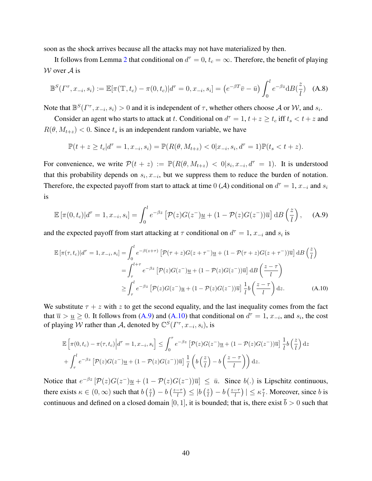soon as the shock arrives because all the attacks may not have materialized by then.

It follows from Lemma [2](#page-16-0) that conditional on  $d^{\tau} = 0$ ,  $t_c = \infty$ . Therefore, the benefit of playing  $W$  over  $A$  is

<span id="page-40-2"></span>
$$
\mathbb{B}^{S}(I^{\tau}, x_{-i}, s_i) := \mathbb{E}[\pi(\mathbb{T}, t_c) - \pi(0, t_c)|d^{\tau} = 0, x_{-i}, s_i] = (e^{-\beta T}\bar{v} - \bar{u}) \int_0^l e^{-\beta z} dB(\frac{z}{l}) \quad (A.8)
$$

Note that  $\mathbb{B}^S(\Gamma^\tau, x_{-i}, s_i) > 0$  and it is independent of  $\tau$ , whether others choose A or W, and  $s_i$ .

Consider an agent who starts to attack at t. Conditional on  $d^{\tau} = 1$ ,  $t + z \geq t_c$  iff  $t_s < t + z$  and  $R(\theta, M_{t+z}) < 0$ . Since  $t_s$  is an independent random variable, we have

$$
\mathbb{P}(t+z \ge t_c | d^{\tau} = 1, x_{-i}, s_i) = \mathbb{P}(R(\theta, M_{t+z}) < 0 | x_{-i}, s_i, d^{\tau} = 1) \mathbb{P}(t_s < t+z).
$$

For convenience, we write  $\mathcal{P}(t + z) := \mathbb{P}(R(\theta, M_{t+z}) < 0 | s_i, x_{-i}, d^{\tau} = 1)$ . It is understood that this probability depends on  $s_i, x_{-i}$ , but we suppress them to reduce the burden of notation. Therefore, the expected payoff from start to attack at time 0 ( $A$ ) conditional on  $d^{\tau} = 1$ ,  $x_{-i}$  and  $s_i$ is

<span id="page-40-0"></span>
$$
\mathbb{E}\left[\pi(0,t_c)|d^{\tau}=1,x_{-i},s_i\right] = \int_0^l e^{-\beta z} \left[\mathcal{P}(z)G(z^-)\underline{u} + (1-\mathcal{P}(z)G(z^-))\overline{u}\right] \mathrm{d}B\left(\frac{z}{l}\right),\quad\text{(A.9)}
$$

and the expected payoff from start attacking at  $\tau$  conditional on  $d^{\tau} = 1$ ,  $x_{-i}$  and  $s_i$  is

$$
\mathbb{E}\left[\pi(\tau,t_c)|d^{\tau}=1,x_{-i},s_i\right] = \int_0^l e^{-\beta(z+\tau)}\left[\mathcal{P}(\tau+z)G(z+\tau^{-})\underline{u} + (1-\mathcal{P}(\tau+z)G(z+\tau^{-}))\overline{u}\right]dB\left(\frac{z}{l}\right)
$$

$$
= \int_{\tau}^{l+\tau} e^{-\beta z}\left[\mathcal{P}(z)G(z^{-})\underline{u} + (1-\mathcal{P}(z)G(z^{-}))\overline{u}\right]dB\left(\frac{z-\tau}{l}\right)
$$

$$
\geq \int_{\tau}^l e^{-\beta z}\left[\mathcal{P}(z)G(z^{-})\underline{u} + (1-\mathcal{P}(z)G(z^{-}))\overline{u}\right]\frac{1}{l}b\left(\frac{z-\tau}{l}\right)dz.
$$
 (A.10)

We substitute  $\tau + z$  with z to get the second equality, and the last inequality comes from the fact that  $\overline{u} > \underline{u} \ge 0$ . It follows from [\(A.9\)](#page-40-0) and [\(A.10\)](#page-40-1) that conditional on  $d^{\tau} = 1$ ,  $x_{-i}$ , and  $s_i$ , the cost of playing W rather than A, denoted by  $\mathbb{C}^{S}(\Gamma^{\tau}, x_{-i}, s_i)$ , is

<span id="page-40-1"></span>
$$
\mathbb{E}\left[\pi(0,t_c)-\pi(\tau,t_c)\Big|d^{\tau}=1,x_{-i},s_i\right] \leq \int_0^{\tau} e^{-\beta z} \left[\mathcal{P}(z)G(z^{-})\underline{u}+(1-\mathcal{P}(z)G(z^{-}))\overline{u}\right] \frac{1}{l}b\left(\frac{z}{l}\right)dz
$$

$$
+\int_{\tau}^{l} e^{-\beta z} \left[\mathcal{P}(z)G(z^{-})\underline{u}+(1-\mathcal{P}(z)G(z^{-}))\overline{u}\right] \frac{1}{l}\left(b\left(\frac{z}{l}\right)-b\left(\frac{z-\tau}{l}\right)\right)dz.
$$

Notice that  $e^{-\beta z} \left[ \mathcal{P}(z) G(z^-) \underline{u} + (1 - \mathcal{P}(z) G(z^-)) \overline{u} \right] \leq \overline{u}$ . Since  $b(.)$  is Lipschitz continuous, there exists  $\kappa \in (0, \infty)$  such that  $b\left(\frac{z}{l}\right)$  $\left(\frac{z}{l}\right) - b\left(\frac{z-\tau}{l}\right)$  $\frac{-\tau}{l}\big)\leq|b\left(\frac{z}{l}\right)$  $\left(\frac{z}{l}\right) - b\left(\frac{z-\tau}{l}\right)$  $\left| \frac{-\tau}{l} \right| \leq \kappa \frac{\tau}{l}$  $\frac{\tau}{l}$ . Moreover, since *b* is continuous and defined on a closed domain [0, 1], it is bounded; that is, there exist  $\bar{b} > 0$  such that